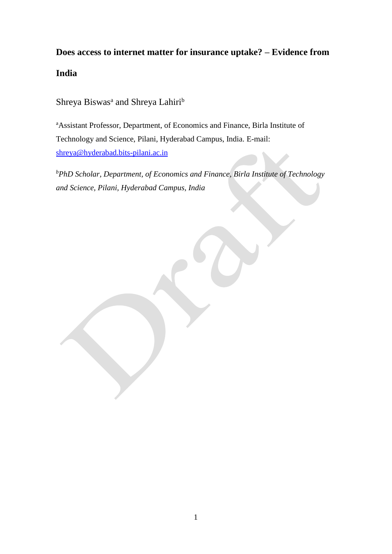# **Does access to internet matter for insurance uptake? – Evidence from**

**India**

Shreya Biswas<sup>a</sup> and Shreya Lahiri<sup>b</sup>

<sup>a</sup>Assistant Professor, Department, of Economics and Finance, Birla Institute of Technology and Science, Pilani, Hyderabad Campus, India. E-mail: [shreya@hyderabad.bits-pilani.ac.in](mailto:shreya@hyderabad.bits-pilani.ac.in)

*<sup>b</sup>PhD Scholar, Department, of Economics and Finance, Birla Institute of Technology and Science, Pilani, Hyderabad Campus, India*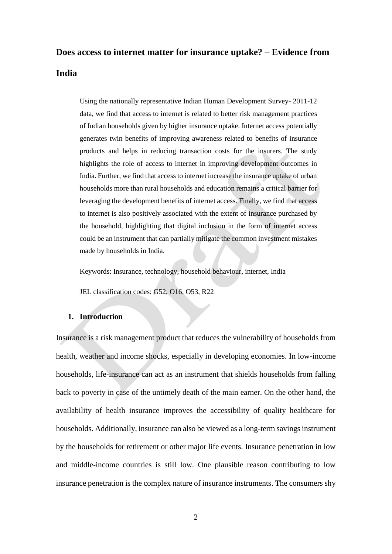# **Does access to internet matter for insurance uptake? – Evidence from India**

Using the nationally representative Indian Human Development Survey- 2011-12 data, we find that access to internet is related to better risk management practices of Indian households given by higher insurance uptake. Internet access potentially generates twin benefits of improving awareness related to benefits of insurance products and helps in reducing transaction costs for the insurers. The study highlights the role of access to internet in improving development outcomes in India. Further, we find that access to internet increase the insurance uptake of urban households more than rural households and education remains a critical barrier for leveraging the development benefits of internet access. Finally, we find that access to internet is also positively associated with the extent of insurance purchased by the household, highlighting that digital inclusion in the form of internet access could be an instrument that can partially mitigate the common investment mistakes made by households in India.

Keywords: Insurance, technology, household behaviour, internet, India

JEL classification codes: G52, O16, O53, R22

## **1. Introduction**

Insurance is a risk management product that reduces the vulnerability of households from health, weather and income shocks, especially in developing economies. In low-income households, life-insurance can act as an instrument that shields households from falling back to poverty in case of the untimely death of the main earner. On the other hand, the availability of health insurance improves the accessibility of quality healthcare for households. Additionally, insurance can also be viewed as a long-term savings instrument by the households for retirement or other major life events. Insurance penetration in low and middle-income countries is still low. One plausible reason contributing to low insurance penetration is the complex nature of insurance instruments. The consumers shy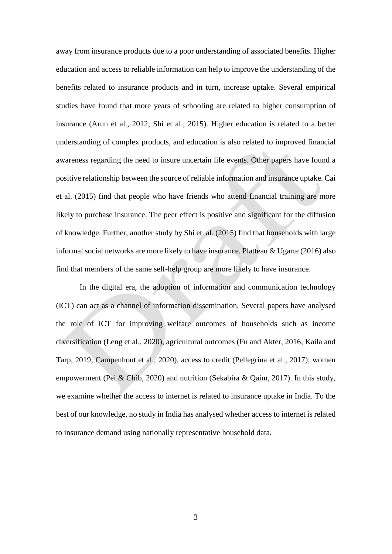away from insurance products due to a poor understanding of associated benefits. Higher education and access to reliable information can help to improve the understanding of the benefits related to insurance products and in turn, increase uptake. Several empirical studies have found that more years of schooling are related to higher consumption of insurance (Arun et al., 2012; Shi et al., 2015). Higher education is related to a better understanding of complex products, and education is also related to improved financial awareness regarding the need to insure uncertain life events. Other papers have found a positive relationship between the source of reliable information and insurance uptake. Cai et al. (2015) find that people who have friends who attend financial training are more likely to purchase insurance. The peer effect is positive and significant for the diffusion of knowledge. Further, another study by Shi et. al. (2015) find that households with large informal social networks are more likely to have insurance. Platteau & Ugarte (2016) also find that members of the same self-help group are more likely to have insurance.

In the digital era, the adoption of information and communication technology (ICT) can act as a channel of information dissemination. Several papers have analysed the role of ICT for improving welfare outcomes of households such as income diversification (Leng et al., 2020), agricultural outcomes (Fu and Akter, 2016; Kaila and Tarp, 2019; Campenhout et al., 2020), access to credit (Pellegrina et al., 2017); women empowerment (Pei & Chib, 2020) and nutrition (Sekabira & Qaim, 2017). In this study, we examine whether the access to internet is related to insurance uptake in India. To the best of our knowledge, no study in India has analysed whether access to internet is related to insurance demand using nationally representative household data.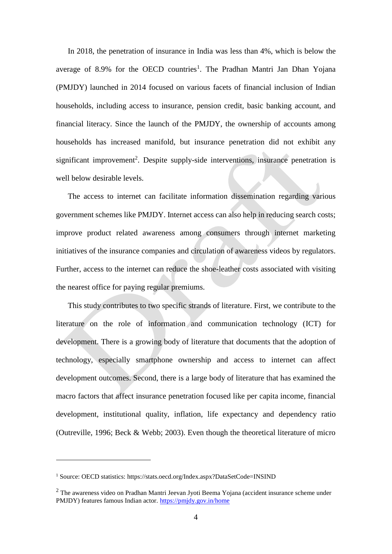In 2018, the penetration of insurance in India was less than 4%, which is below the average of 8.9% for the OECD countries<sup>1</sup>. The Pradhan Mantri Jan Dhan Yojana (PMJDY) launched in 2014 focused on various facets of financial inclusion of Indian households, including access to insurance, pension credit, basic banking account, and financial literacy. Since the launch of the PMJDY, the ownership of accounts among households has increased manifold, but insurance penetration did not exhibit any significant improvement<sup>2</sup>. Despite supply-side interventions, insurance penetration is well below desirable levels.

The access to internet can facilitate information dissemination regarding various government schemes like PMJDY. Internet access can also help in reducing search costs; improve product related awareness among consumers through internet marketing initiatives of the insurance companies and circulation of awareness videos by regulators. Further, access to the internet can reduce the shoe-leather costs associated with visiting the nearest office for paying regular premiums.

This study contributes to two specific strands of literature. First, we contribute to the literature on the role of information and communication technology (ICT) for development. There is a growing body of literature that documents that the adoption of technology, especially smartphone ownership and access to internet can affect development outcomes. Second, there is a large body of literature that has examined the macro factors that affect insurance penetration focused like per capita income, financial development, institutional quality, inflation, life expectancy and dependency ratio (Outreville, 1996; Beck & Webb; 2003). Even though the theoretical literature of micro

<u>.</u>

<sup>&</sup>lt;sup>1</sup> Source: OECD statistics: https://stats.oecd.org/Index.aspx?DataSetCode=INSIND

<sup>&</sup>lt;sup>2</sup> The awareness video on Pradhan Mantri Jeevan Jyoti Beema Yojana (accident insurance scheme under PMJDY) features famous Indian actor.<https://pmjdy.gov.in/home>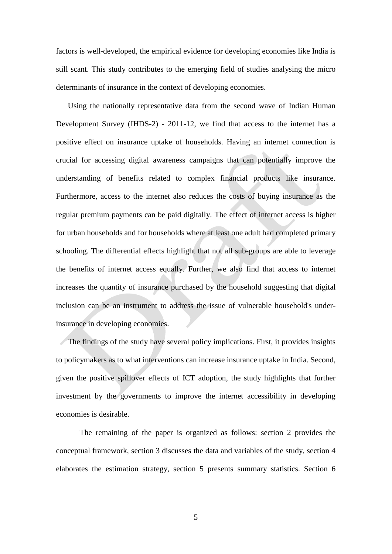factors is well-developed, the empirical evidence for developing economies like India is still scant. This study contributes to the emerging field of studies analysing the micro determinants of insurance in the context of developing economies.

Using the nationally representative data from the second wave of Indian Human Development Survey (IHDS-2) - 2011-12, we find that access to the internet has a positive effect on insurance uptake of households. Having an internet connection is crucial for accessing digital awareness campaigns that can potentially improve the understanding of benefits related to complex financial products like insurance. Furthermore, access to the internet also reduces the costs of buying insurance as the regular premium payments can be paid digitally. The effect of internet access is higher for urban households and for households where at least one adult had completed primary schooling. The differential effects highlight that not all sub-groups are able to leverage the benefits of internet access equally. Further, we also find that access to internet increases the quantity of insurance purchased by the household suggesting that digital inclusion can be an instrument to address the issue of vulnerable household's underinsurance in developing economies.

The findings of the study have several policy implications. First, it provides insights to policymakers as to what interventions can increase insurance uptake in India. Second, given the positive spillover effects of ICT adoption, the study highlights that further investment by the governments to improve the internet accessibility in developing economies is desirable.

The remaining of the paper is organized as follows: section 2 provides the conceptual framework, section 3 discusses the data and variables of the study, section 4 elaborates the estimation strategy, section 5 presents summary statistics. Section 6

5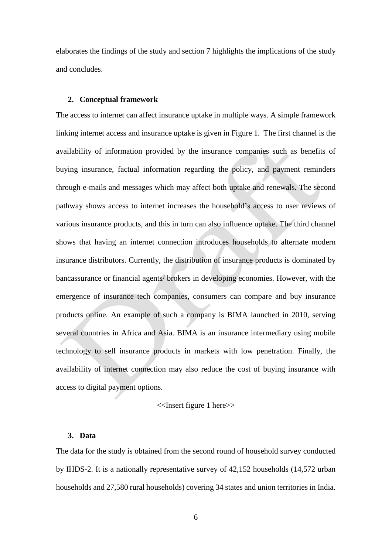elaborates the findings of the study and section 7 highlights the implications of the study and concludes.

#### **2. Conceptual framework**

The access to internet can affect insurance uptake in multiple ways. A simple framework linking internet access and insurance uptake is given in Figure 1. The first channel is the availability of information provided by the insurance companies such as benefits of buying insurance, factual information regarding the policy, and payment reminders through e-mails and messages which may affect both uptake and renewals. The second pathway shows access to internet increases the household's access to user reviews of various insurance products, and this in turn can also influence uptake. The third channel shows that having an internet connection introduces households to alternate modern insurance distributors. Currently, the distribution of insurance products is dominated by bancassurance or financial agents/ brokers in developing economies. However, with the emergence of insurance tech companies, consumers can compare and buy insurance products online. An example of such a company is BIMA launched in 2010, serving several countries in Africa and Asia. BIMA is an insurance intermediary using mobile technology to sell insurance products in markets with low penetration. Finally, the availability of internet connection may also reduce the cost of buying insurance with access to digital payment options.

#### <<Insert figure 1 here>>

#### **3. Data**

The data for the study is obtained from the second round of household survey conducted by IHDS-2. It is a nationally representative survey of 42,152 households (14,572 urban households and 27,580 rural households) covering 34 states and union territories in India.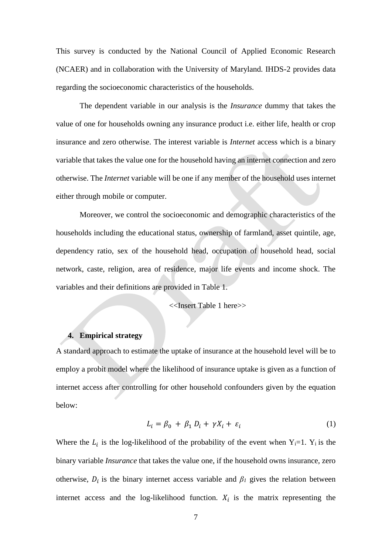This survey is conducted by the National Council of Applied Economic Research (NCAER) and in collaboration with the University of Maryland. IHDS-2 provides data regarding the socioeconomic characteristics of the households.

The dependent variable in our analysis is the *Insurance* dummy that takes the value of one for households owning any insurance product i.e. either life, health or crop insurance and zero otherwise. The interest variable is *Internet* access which is a binary variable that takes the value one for the household having an internet connection and zero otherwise. The *Internet* variable will be one if any member of the household uses internet either through mobile or computer.

Moreover, we control the socioeconomic and demographic characteristics of the households including the educational status, ownership of farmland, asset quintile, age, dependency ratio, sex of the household head, occupation of household head, social network, caste, religion, area of residence, major life events and income shock. The variables and their definitions are provided in Table 1.

<<Insert Table 1 here>>

## **4. Empirical strategy**

A standard approach to estimate the uptake of insurance at the household level will be to employ a probit model where the likelihood of insurance uptake is given as a function of internet access after controlling for other household confounders given by the equation below:

$$
L_i = \beta_0 + \beta_1 D_i + \gamma X_i + \varepsilon_i \tag{1}
$$

Where the  $L_i$  is the log-likelihood of the probability of the event when  $Y_i=1$ .  $Y_i$  is the binary variable *Insurance* that takes the value one, if the household owns insurance, zero otherwise,  $D_i$  is the binary internet access variable and  $\beta_i$  gives the relation between internet access and the log-likelihood function.  $X_i$  is the matrix representing the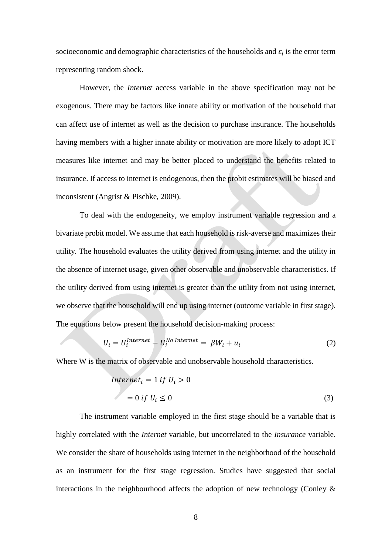socioeconomic and demographic characteristics of the households and  $\varepsilon_i$  is the error term representing random shock.

However, the *Internet* access variable in the above specification may not be exogenous. There may be factors like innate ability or motivation of the household that can affect use of internet as well as the decision to purchase insurance. The households having members with a higher innate ability or motivation are more likely to adopt ICT measures like internet and may be better placed to understand the benefits related to insurance. If access to internet is endogenous, then the probit estimates will be biased and inconsistent (Angrist & Pischke, 2009).

To deal with the endogeneity, we employ instrument variable regression and a bivariate probit model. We assume that each household is risk-averse and maximizes their utility. The household evaluates the utility derived from using internet and the utility in the absence of internet usage, given other observable and unobservable characteristics. If the utility derived from using internet is greater than the utility from not using internet, we observe that the household will end up using internet (outcome variable in first stage). The equations below present the household decision-making process:

$$
U_i = U_i^{Internet} - U_i^{No\ Internet} = \beta W_i + u_i \tag{2}
$$

Where W is the matrix of observable and unobservable household characteristics.

$$
Internet_i = 1 if U_i > 0
$$
  
= 0 if U<sub>i</sub> \le 0 (3)

The instrument variable employed in the first stage should be a variable that is highly correlated with the *Internet* variable, but uncorrelated to the *Insurance* variable. We consider the share of households using internet in the neighborhood of the household as an instrument for the first stage regression. Studies have suggested that social interactions in the neighbourhood affects the adoption of new technology (Conley  $\&$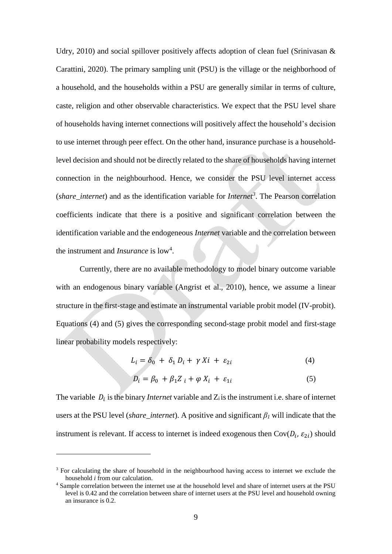Udry, 2010) and social spillover positively affects adoption of clean fuel (Srinivasan  $\&$ Carattini, 2020). The primary sampling unit (PSU) is the village or the neighborhood of a household, and the households within a PSU are generally similar in terms of culture, caste, religion and other observable characteristics. We expect that the PSU level share of households having internet connections will positively affect the household's decision to use internet through peer effect. On the other hand, insurance purchase is a householdlevel decision and should not be directly related to the share of households having internet connection in the neighbourhood. Hence, we consider the PSU level internet access (*share\_internet*) and as the identification variable for *Internet<sup>3</sup>* . The Pearson correlation coefficients indicate that there is a positive and significant correlation between the identification variable and the endogeneous *Internet* variable and the correlation between the instrument and *Insurance* is low<sup>4</sup>.

Currently, there are no available methodology to model binary outcome variable with an endogenous binary variable (Angrist et al., 2010), hence, we assume a linear structure in the first-stage and estimate an instrumental variable probit model (IV-probit). Equations (4) and (5) gives the corresponding second-stage probit model and first-stage linear probability models respectively:

$$
L_i = \delta_0 + \delta_1 D_i + \gamma X i + \varepsilon_{2i} \tag{4}
$$

$$
D_i = \beta_0 + \beta_1 Z_i + \varphi X_i + \varepsilon_{1i} \tag{5}
$$

The variable  $D_i$  is the binary *Internet* variable and  $Z_i$  is the instrument i.e. share of internet users at the PSU level (*share\_internet*). A positive and significant  $\beta$ *l* will indicate that the instrument is relevant. If access to internet is indeed exogenous then  $Cov(D_i, \varepsilon_{2i})$  should

<u>.</u>

<sup>&</sup>lt;sup>3</sup> For calculating the share of household in the neighbourhood having access to internet we exclude the household *i* from our calculation.

<sup>4</sup> Sample correlation between the internet use at the household level and share of internet users at the PSU level is 0.42 and the correlation between share of internet users at the PSU level and household owning an insurance is 0.2.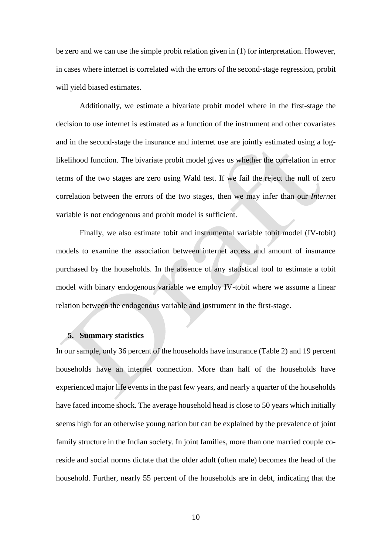be zero and we can use the simple probit relation given in (1) for interpretation. However, in cases where internet is correlated with the errors of the second-stage regression, probit will yield biased estimates.

Additionally, we estimate a bivariate probit model where in the first-stage the decision to use internet is estimated as a function of the instrument and other covariates and in the second-stage the insurance and internet use are jointly estimated using a loglikelihood function. The bivariate probit model gives us whether the correlation in error terms of the two stages are zero using Wald test. If we fail the reject the null of zero correlation between the errors of the two stages, then we may infer than our *Internet* variable is not endogenous and probit model is sufficient.

Finally, we also estimate tobit and instrumental variable tobit model (IV-tobit) models to examine the association between internet access and amount of insurance purchased by the households. In the absence of any statistical tool to estimate a tobit model with binary endogenous variable we employ IV-tobit where we assume a linear relation between the endogenous variable and instrument in the first-stage.

## **5. Summary statistics**

In our sample, only 36 percent of the households have insurance (Table 2) and 19 percent households have an internet connection. More than half of the households have experienced major life events in the past few years, and nearly a quarter of the households have faced income shock. The average household head is close to 50 years which initially seems high for an otherwise young nation but can be explained by the prevalence of joint family structure in the Indian society. In joint families, more than one married couple coreside and social norms dictate that the older adult (often male) becomes the head of the household. Further, nearly 55 percent of the households are in debt, indicating that the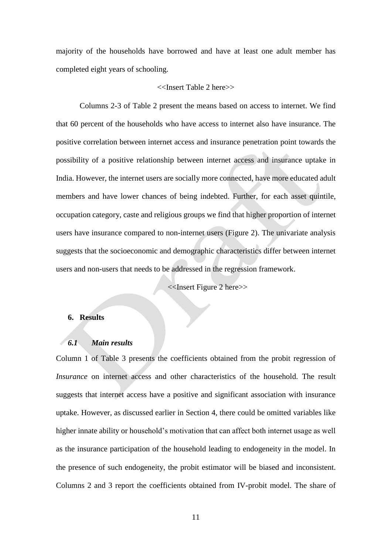majority of the households have borrowed and have at least one adult member has completed eight years of schooling.

#### <<Insert Table 2 here>>

Columns 2-3 of Table 2 present the means based on access to internet. We find that 60 percent of the households who have access to internet also have insurance. The positive correlation between internet access and insurance penetration point towards the possibility of a positive relationship between internet access and insurance uptake in India. However, the internet users are socially more connected, have more educated adult members and have lower chances of being indebted. Further, for each asset quintile, occupation category, caste and religious groups we find that higher proportion of internet users have insurance compared to non-internet users (Figure 2). The univariate analysis suggests that the socioeconomic and demographic characteristics differ between internet users and non-users that needs to be addressed in the regression framework.

<<Insert Figure 2 here>>

#### **6. Results**

## *6.1 Main results*

Column 1 of Table 3 presents the coefficients obtained from the probit regression of *Insurance* on internet access and other characteristics of the household*.* The result suggests that internet access have a positive and significant association with insurance uptake. However, as discussed earlier in Section 4, there could be omitted variables like higher innate ability or household's motivation that can affect both internet usage as well as the insurance participation of the household leading to endogeneity in the model. In the presence of such endogeneity, the probit estimator will be biased and inconsistent. Columns 2 and 3 report the coefficients obtained from IV-probit model. The share of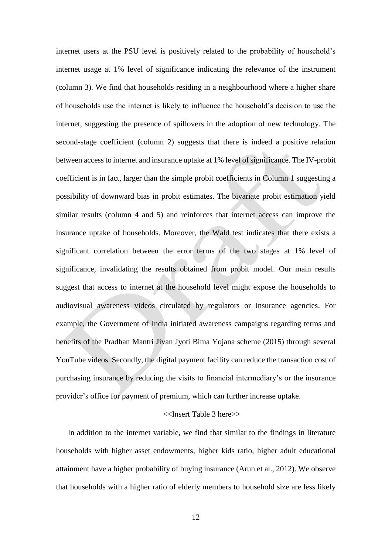internet users at the PSU level is positively related to the probability of household's internet usage at 1% level of significance indicating the relevance of the instrument (column 3). We find that households residing in a neighbourhood where a higher share of households use the internet is likely to influence the household's decision to use the internet, suggesting the presence of spillovers in the adoption of new technology. The second-stage coefficient (column 2) suggests that there is indeed a positive relation between access to internet and insurance uptake at 1% level of significance. The IV-probit coefficient is in fact, larger than the simple probit coefficients in Column 1 suggesting a possibility of downward bias in probit estimates. The bivariate probit estimation yield similar results (column 4 and 5) and reinforces that internet access can improve the insurance uptake of households. Moreover, the Wald test indicates that there exists a significant correlation between the error terms of the two stages at 1% level of significance, invalidating the results obtained from probit model. Our main results suggest that access to internet at the household level might expose the households to audiovisual awareness videos circulated by regulators or insurance agencies. For example, the Government of India initiated awareness campaigns regarding terms and benefits of the Pradhan Mantri Jivan Jyoti Bima Yojana scheme (2015) through several YouTube videos. Secondly, the digital payment facility can reduce the transaction cost of purchasing insurance by reducing the visits to financial intermediary's or the insurance provider's office for payment of premium, which can further increase uptake.

## <<Insert Table 3 here>>

In addition to the internet variable, we find that similar to the findings in literature households with higher asset endowments, higher kids ratio, higher adult educational attainment have a higher probability of buying insurance (Arun et al., 2012). We observe that households with a higher ratio of elderly members to household size are less likely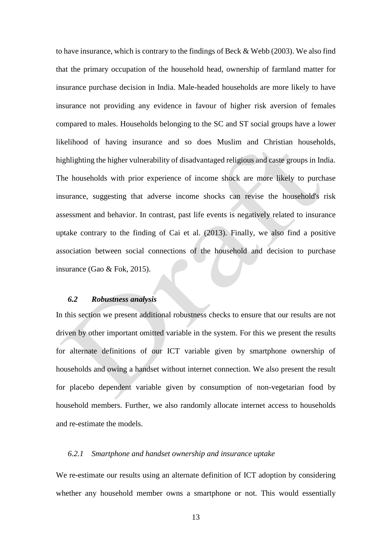to have insurance, which is contrary to the findings of Beck & Webb (2003). We also find that the primary occupation of the household head, ownership of farmland matter for insurance purchase decision in India. Male-headed households are more likely to have insurance not providing any evidence in favour of higher risk aversion of females compared to males. Households belonging to the SC and ST social groups have a lower likelihood of having insurance and so does Muslim and Christian households, highlighting the higher vulnerability of disadvantaged religious and caste groups in India. The households with prior experience of income shock are more likely to purchase insurance, suggesting that adverse income shocks can revise the household's risk assessment and behavior. In contrast, past life events is negatively related to insurance uptake contrary to the finding of Cai et al. (2013). Finally, we also find a positive association between social connections of the household and decision to purchase insurance (Gao & Fok, 2015).

## *6.2 Robustness analysis*

In this section we present additional robustness checks to ensure that our results are not driven by other important omitted variable in the system. For this we present the results for alternate definitions of our ICT variable given by smartphone ownership of households and owing a handset without internet connection. We also present the result for placebo dependent variable given by consumption of non-vegetarian food by household members. Further, we also randomly allocate internet access to households and re-estimate the models.

### *6.2.1 Smartphone and handset ownership and insurance uptake*

We re-estimate our results using an alternate definition of ICT adoption by considering whether any household member owns a smartphone or not. This would essentially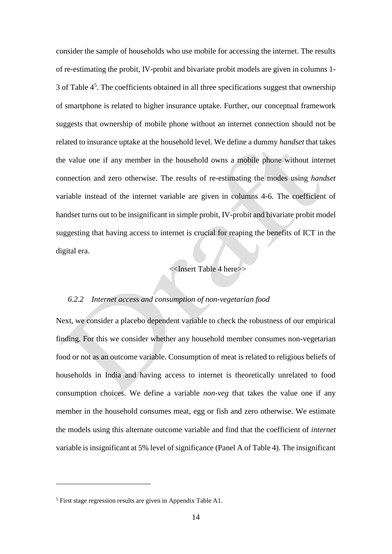consider the sample of households who use mobile for accessing the internet. The results of re-estimating the probit, IV-probit and bivariate probit models are given in columns 1- 3 of Table  $4<sup>5</sup>$ . The coefficients obtained in all three specifications suggest that ownership of smartphone is related to higher insurance uptake. Further, our conceptual framework suggests that ownership of mobile phone without an internet connection should not be related to insurance uptake at the household level. We define a dummy *handset* that takes the value one if any member in the household owns a mobile phone without internet connection and zero otherwise. The results of re-estimating the modes using *handset*  variable instead of the internet variable are given in columns 4-6. The coefficient of handset turns out to be insignificant in simple probit, IV-probit and bivariate probit model suggesting that having access to internet is crucial for reaping the benefits of ICT in the digital era.

# <<Insert Table 4 here>>

## *6.2.2 Internet access and consumption of non-vegetarian food*

Next, we consider a placebo dependent variable to check the robustness of our empirical finding. For this we consider whether any household member consumes non-vegetarian food or not as an outcome variable. Consumption of meat is related to religious beliefs of households in India and having access to internet is theoretically unrelated to food consumption choices. We define a variable *non-veg* that takes the value one if any member in the household consumes meat, egg or fish and zero otherwise. We estimate the models using this alternate outcome variable and find that the coefficient of *internet* variable is insignificant at 5% level of significance (Panel A of Table 4). The insignificant

1

<sup>5</sup> First stage regression results are given in Appendix Table A1.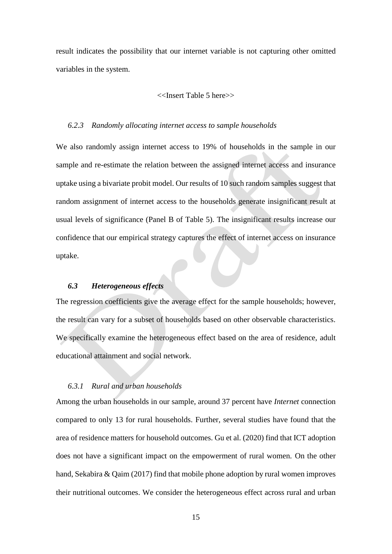result indicates the possibility that our internet variable is not capturing other omitted variables in the system.

#### <<Insert Table 5 here>>

#### *6.2.3 Randomly allocating internet access to sample households*

We also randomly assign internet access to 19% of households in the sample in our sample and re-estimate the relation between the assigned internet access and insurance uptake using a bivariate probit model. Our results of 10 such random samples suggest that random assignment of internet access to the households generate insignificant result at usual levels of significance (Panel B of Table 5). The insignificant results increase our confidence that our empirical strategy captures the effect of internet access on insurance uptake.

## *6.3 Heterogeneous effects*

The regression coefficients give the average effect for the sample households; however, the result can vary for a subset of households based on other observable characteristics. We specifically examine the heterogeneous effect based on the area of residence, adult educational attainment and social network.

## *6.3.1 Rural and urban households*

Among the urban households in our sample, around 37 percent have *Internet* connection compared to only 13 for rural households. Further, several studies have found that the area of residence matters for household outcomes. Gu et al. (2020) find that ICT adoption does not have a significant impact on the empowerment of rural women. On the other hand, Sekabira & Qaim (2017) find that mobile phone adoption by rural women improves their nutritional outcomes. We consider the heterogeneous effect across rural and urban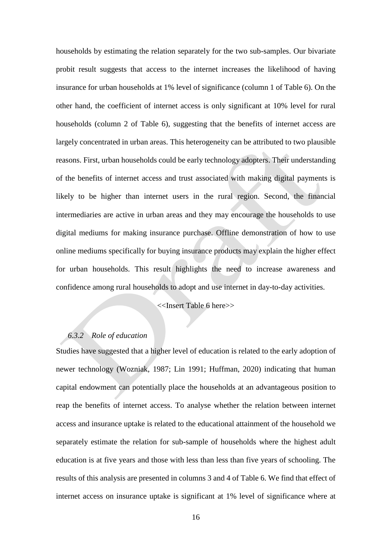households by estimating the relation separately for the two sub-samples. Our bivariate probit result suggests that access to the internet increases the likelihood of having insurance for urban households at 1% level of significance (column 1 of Table 6). On the other hand, the coefficient of internet access is only significant at 10% level for rural households (column 2 of Table 6), suggesting that the benefits of internet access are largely concentrated in urban areas. This heterogeneity can be attributed to two plausible reasons. First, urban households could be early technology adopters. Their understanding of the benefits of internet access and trust associated with making digital payments is likely to be higher than internet users in the rural region. Second, the financial intermediaries are active in urban areas and they may encourage the households to use digital mediums for making insurance purchase. Offline demonstration of how to use online mediums specifically for buying insurance products may explain the higher effect for urban households. This result highlights the need to increase awareness and confidence among rural households to adopt and use internet in day-to-day activities.

<<Insert Table 6 here>>

# *6.3.2 Role of education*

Studies have suggested that a higher level of education is related to the early adoption of newer technology (Wozniak, 1987; Lin 1991; Huffman, 2020) indicating that human capital endowment can potentially place the households at an advantageous position to reap the benefits of internet access. To analyse whether the relation between internet access and insurance uptake is related to the educational attainment of the household we separately estimate the relation for sub-sample of households where the highest adult education is at five years and those with less than less than five years of schooling. The results of this analysis are presented in columns 3 and 4 of Table 6. We find that effect of internet access on insurance uptake is significant at 1% level of significance where at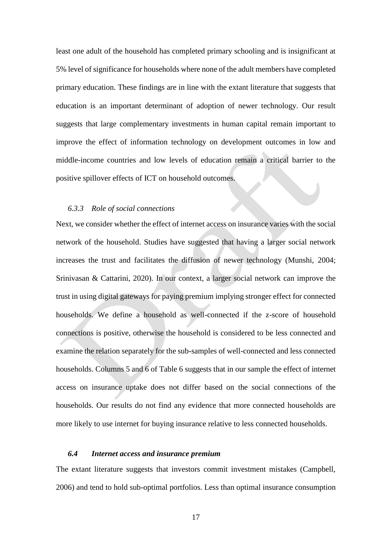least one adult of the household has completed primary schooling and is insignificant at 5% level of significance for households where none of the adult members have completed primary education. These findings are in line with the extant literature that suggests that education is an important determinant of adoption of newer technology. Our result suggests that large complementary investments in human capital remain important to improve the effect of information technology on development outcomes in low and middle-income countries and low levels of education remain a critical barrier to the positive spillover effects of ICT on household outcomes.

#### *6.3.3 Role of social connections*

Next, we consider whether the effect of internet access on insurance varies with the social network of the household. Studies have suggested that having a larger social network increases the trust and facilitates the diffusion of newer technology (Munshi, 2004; Srinivasan & Cattarini, 2020). In our context, a larger social network can improve the trust in using digital gateways for paying premium implying stronger effect for connected households. We define a household as well-connected if the z-score of household connections is positive, otherwise the household is considered to be less connected and examine the relation separately for the sub-samples of well-connected and less connected households. Columns 5 and 6 of Table 6 suggests that in our sample the effect of internet access on insurance uptake does not differ based on the social connections of the households. Our results do not find any evidence that more connected households are more likely to use internet for buying insurance relative to less connected households.

## *6.4 Internet access and insurance premium*

The extant literature suggests that investors commit investment mistakes (Campbell, 2006) and tend to hold sub-optimal portfolios. Less than optimal insurance consumption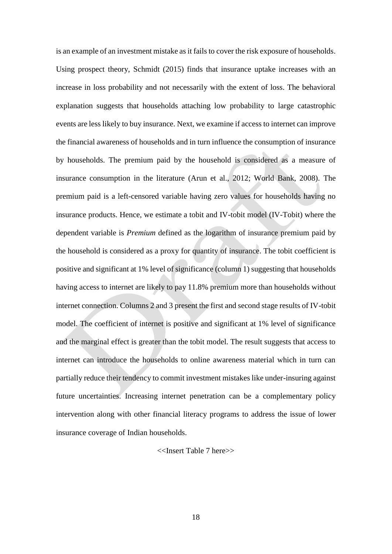is an example of an investment mistake as it fails to cover the risk exposure of households. Using prospect theory, Schmidt (2015) finds that insurance uptake increases with an increase in loss probability and not necessarily with the extent of loss. The behavioral explanation suggests that households attaching low probability to large catastrophic events are less likely to buy insurance. Next, we examine if access to internet can improve the financial awareness of households and in turn influence the consumption of insurance by households. The premium paid by the household is considered as a measure of insurance consumption in the literature (Arun et al., 2012; World Bank, 2008). The premium paid is a left-censored variable having zero values for households having no insurance products. Hence, we estimate a tobit and IV-tobit model (IV-Tobit) where the dependent variable is *Premium* defined as the logarithm of insurance premium paid by the household is considered as a proxy for quantity of insurance. The tobit coefficient is positive and significant at 1% level of significance (column 1) suggesting that households having access to internet are likely to pay 11.8% premium more than households without internet connection. Columns 2 and 3 present the first and second stage results of IV-tobit model. The coefficient of internet is positive and significant at 1% level of significance and the marginal effect is greater than the tobit model. The result suggests that access to internet can introduce the households to online awareness material which in turn can partially reduce their tendency to commit investment mistakes like under-insuring against future uncertainties. Increasing internet penetration can be a complementary policy intervention along with other financial literacy programs to address the issue of lower insurance coverage of Indian households.

<<Insert Table 7 here>>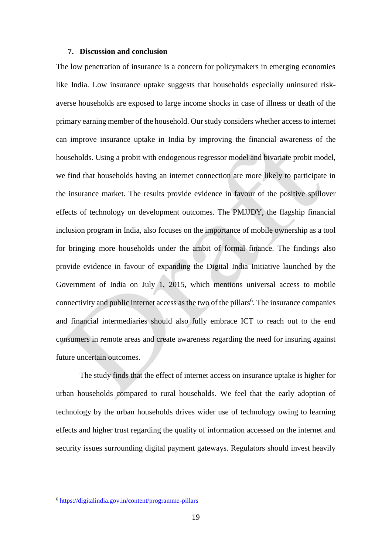## **7. Discussion and conclusion**

The low penetration of insurance is a concern for policymakers in emerging economies like India. Low insurance uptake suggests that households especially uninsured riskaverse households are exposed to large income shocks in case of illness or death of the primary earning member of the household. Our study considers whether access to internet can improve insurance uptake in India by improving the financial awareness of the households. Using a probit with endogenous regressor model and bivariate probit model, we find that households having an internet connection are more likely to participate in the insurance market. The results provide evidence in favour of the positive spillover effects of technology on development outcomes. The PMJJDY, the flagship financial inclusion program in India, also focuses on the importance of mobile ownership as a tool for bringing more households under the ambit of formal finance. The findings also provide evidence in favour of expanding the Digital India Initiative launched by the Government of India on July 1, 2015, which mentions universal access to mobile connectivity and public internet access as the two of the pillars<sup>6</sup>. The insurance companies and financial intermediaries should also fully embrace ICT to reach out to the end consumers in remote areas and create awareness regarding the need for insuring against future uncertain outcomes.

The study finds that the effect of internet access on insurance uptake is higher for urban households compared to rural households. We feel that the early adoption of technology by the urban households drives wider use of technology owing to learning effects and higher trust regarding the quality of information accessed on the internet and security issues surrounding digital payment gateways. Regulators should invest heavily

1

<sup>6</sup> <https://digitalindia.gov.in/content/programme-pillars>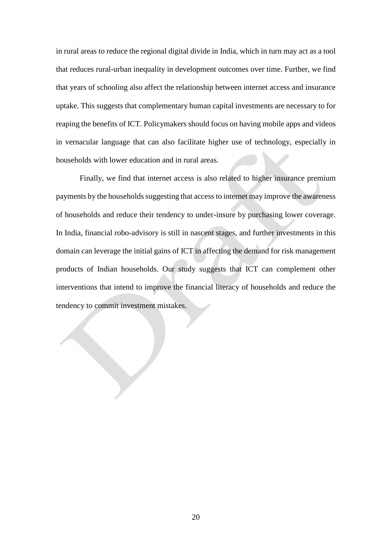in rural areas to reduce the regional digital divide in India, which in turn may act as a tool that reduces rural-urban inequality in development outcomes over time. Further, we find that years of schooling also affect the relationship between internet access and insurance uptake. This suggests that complementary human capital investments are necessary to for reaping the benefits of ICT. Policymakers should focus on having mobile apps and videos in vernacular language that can also facilitate higher use of technology, especially in households with lower education and in rural areas.

Finally, we find that internet access is also related to higher insurance premium payments by the households suggesting that access to internet may improve the awareness of households and reduce their tendency to under-insure by purchasing lower coverage. In India, financial robo-advisory is still in nascent stages, and further investments in this domain can leverage the initial gains of ICT in affecting the demand for risk management products of Indian households. Our study suggests that ICT can complement other interventions that intend to improve the financial literacy of households and reduce the tendency to commit investment mistakes.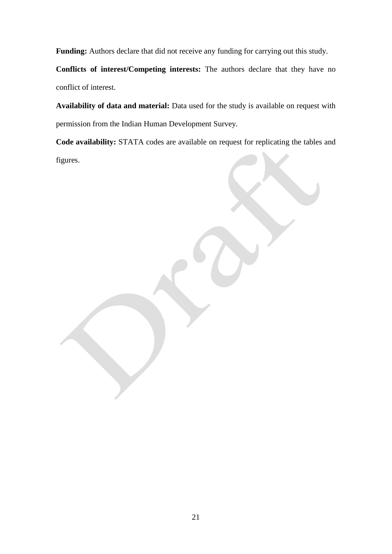**Funding:** Authors declare that did not receive any funding for carrying out this study.

**Conflicts of interest/Competing interests:** The authors declare that they have no conflict of interest.

**Availability of data and material:** Data used for the study is available on request with permission from the Indian Human Development Survey.

**Code availability:** STATA codes are available on request for replicating the tables and figures.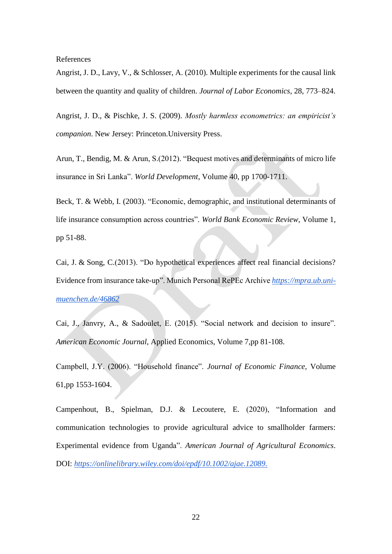References

Angrist, J. D., Lavy, V., & Schlosser, A. (2010). Multiple experiments for the causal link between the quantity and quality of children. *Journal of Labor Economics*, 28, 773–824.

Angrist, J. D., & Pischke, J. S. (2009). *Mostly harmless econometrics: an empiricist's companion*. New Jersey: Princeton.University Press.

Arun, T., Bendig, M. & Arun, S.(2012). "Bequest motives and determinants of micro life insurance in Sri Lanka". *World Development*, Volume 40, pp 1700-1711.

Beck, T. & Webb, I. (2003). "Economic, demographic, and institutional determinants of life insurance consumption across countries". *World Bank Economic Review,* Volume 1, pp 51-88.

Cai, J. & Song, C.(2013). "Do hypothetical experiences affect real financial decisions? Evidence from insurance take-up". Munich Personal RePEc Archive *[https://mpra.ub.uni](https://mpra.ub.uni-muenchen.de/46862)[muenchen.de/46862](https://mpra.ub.uni-muenchen.de/46862)*

Cai, J., Janvry, A., & Sadoulet, E. (2015). "Social network and decision to insure". *American Economic Journal*, Applied Economics, Volume 7,pp 81-108.

Campbell, J.Y. (2006). "Household finance". *Journal of Economic Finance,* Volume 61,pp 1553-1604.

Campenhout, B., Spielman, D.J. & Lecoutere, E. (2020), "Information and communication technologies to provide agricultural advice to smallholder farmers: Experimental evidence from Uganda". *American Journal of Agricultural Economics*. DOI: *[https://onlinelibrary.wiley.com/doi/epdf/10.1002/ajae.12089.](https://onlinelibrary.wiley.com/doi/epdf/10.1002/ajae.12089)*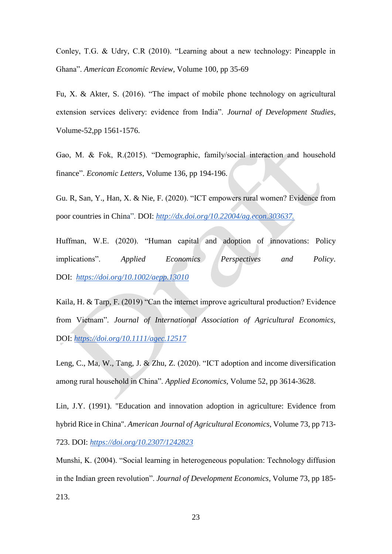Conley, T.G. & Udry, C.R (2010). "Learning about a new technology: Pineapple in Ghana". *American Economic Review,* Volume 100, pp 35-69

Fu, X. & Akter, S. (2016). "The impact of mobile phone technology on agricultural extension services delivery: evidence from India". *Journal of Development Studies*, Volume-52,pp 1561-1576.

Gao, M. & Fok, R.(2015). "Demographic, family/social interaction and household finance". *Economic Letters*, Volume 136, pp 194-196.

Gu. R, San, Y., Han, X. & Nie, F. (2020). "ICT empowers rural women? Evidence from poor countries in China". DOI: *http://dx.doi.org/10.22004/ag.econ.303637.*

Huffman, W.E. (2020). "Human capital and adoption of innovations: Policy implications". *Applied Economics Perspectives and Policy*. DOI: *<https://doi.org/10.1002/aepp.13010>*

Kaila, H. & Tarp, F. (2019) "Can the internet improve agricultural production? Evidence from Vietnam". *Journal of International Association of Agricultural Economics,* DOI: *<https://doi.org/10.1111/agec.12517>*

Leng, C., Ma, W., Tang, J. & Zhu, Z. (2020). "ICT adoption and income diversification among rural household in China". *Applied Economics,* Volume 52, pp 3614-3628.

Lin, J.Y. (1991). "Education and innovation adoption in agriculture: Evidence from hybrid Rice in China". *American Journal of Agricultural Economics*, Volume 73, pp 713- 723. DOI: *<https://doi.org/10.2307/1242823>*

Munshi, K. (2004). "Social learning in heterogeneous population: Technology diffusion in the Indian green revolution". *Journal of Development Economics,* Volume 73, pp 185- 213.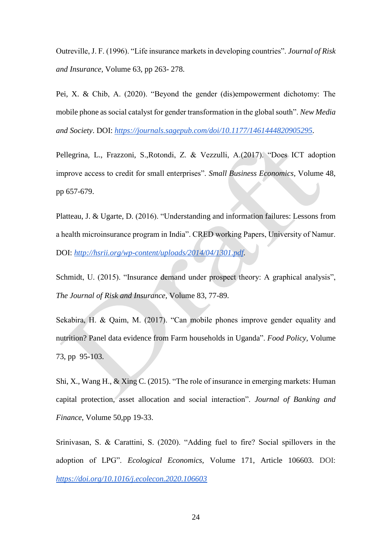Outreville, J. F. (1996). "Life insurance markets in developing countries". *Journal of Risk and Insurance,* Volume 63, pp 263- 278.

Pei, X. & Chib, A. (2020). "Beyond the gender (dis)empowerment dichotomy: The mobile phone as social catalyst for gender transformation in the global south". *New Media and Society*. DOI: *[https://journals.sagepub.com/doi/10.1177/1461444820905295.](https://journals.sagepub.com/doi/10.1177/1461444820905295)*

Pellegrina, L., Frazzoni, S.,Rotondi, Z. & Vezzulli, A.(2017). "Does ICT adoption improve access to credit for small enterprises". *Small Business Economics,* Volume 48, pp 657-679.

Platteau, J. & Ugarte, D. (2016). "Understanding and information failures: Lessons from a health microinsurance program in India". CRED working Papers, University of Namur. DOI: *[http://hsrii.org/wp-content/uploads/2014/04/1301.pdf.](http://hsrii.org/wp-content/uploads/2014/04/1301.pdf)*

Schmidt, U. (2015). "Insurance demand under prospect theory: A graphical analysis", *The Journal of Risk and Insurance,* Volume 83, 77-89.

Sekabira, H. & Qaim, M. (2017). "Can mobile phones improve gender equality and nutrition? Panel data evidence from Farm households in Uganda". *Food Policy,* Volume 73, pp 95-103.

Shi, X., Wang H., & Xing C. (2015). "The role of insurance in emerging markets: Human capital protection, asset allocation and social interaction". *Journal of Banking and Finance*, Volume 50,pp 19-33.

Srinivasan, S. & Carattini, S. (2020). "Adding fuel to fire? Social spillovers in the adoption of LPG". *Ecological Economics,* Volume 171, Article 106603. DOI: *<https://doi.org/10.1016/j.ecolecon.2020.106603>*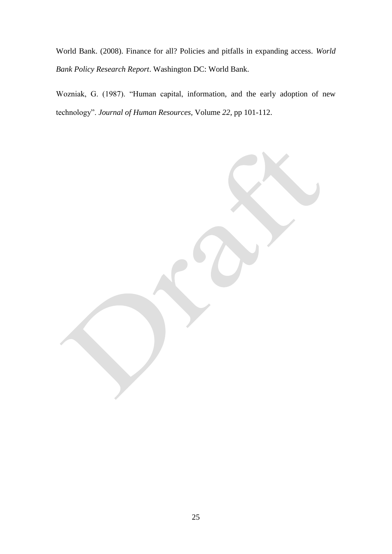World Bank. (2008). Finance for all? Policies and pitfalls in expanding access. *World Bank Policy Research Report*. Washington DC: World Bank.

Wozniak, G. (1987). "Human capital, information, and the early adoption of new technology". *Journal of Human Resources,* Volume *22*, pp 101-112.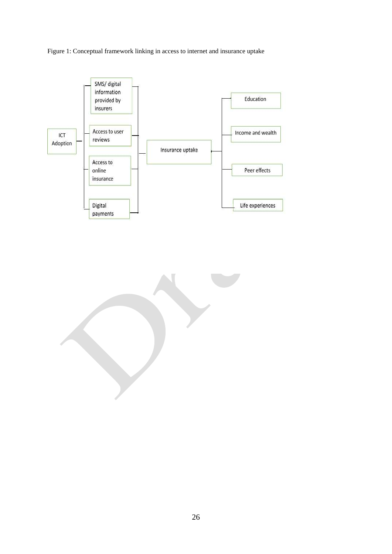Figure 1: Conceptual framework linking in access to internet and insurance uptake

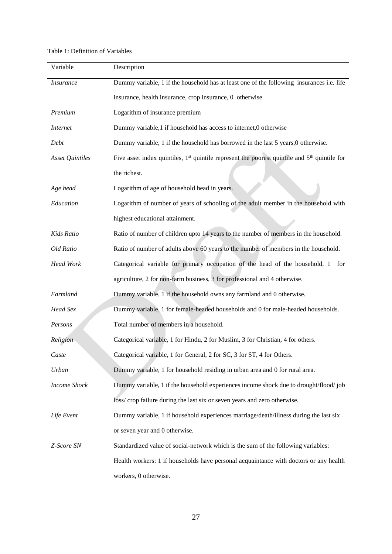## Table 1: Definition of Variables

| Variable               | Description                                                                                      |
|------------------------|--------------------------------------------------------------------------------------------------|
| <b>Insurance</b>       | Dummy variable, 1 if the household has at least one of the following insurances i.e. life        |
|                        | insurance, health insurance, crop insurance, 0 otherwise                                         |
| Premium                | Logarithm of insurance premium                                                                   |
| <i>Internet</i>        | Dummy variable,1 if household has access to internet,0 otherwise                                 |
| Debt                   | Dummy variable, 1 if the household has borrowed in the last 5 years,0 otherwise.                 |
| <b>Asset Quintiles</b> | Five asset index quintiles, $1st$ quintile represent the poorest quintile and $5th$ quintile for |
|                        | the richest.                                                                                     |
| Age head               | Logarithm of age of household head in years.                                                     |
| Education              | Logarithm of number of years of schooling of the adult member in the household with              |
|                        | highest educational attainment.                                                                  |
| Kids Ratio             | Ratio of number of children upto 14 years to the number of members in the household.             |
| Old Ratio              | Ratio of number of adults above 60 years to the number of members in the household.              |
| <b>Head Work</b>       | Categorical variable for primary occupation of the head of the household, 1 for                  |
|                        | agriculture, 2 for non-farm business, 3 for professional and 4 otherwise.                        |
| Farmland               | Dummy variable, 1 if the household owns any farmland and 0 otherwise.                            |
| Head Sex               | Dummy variable, 1 for female-headed households and 0 for male-headed households.                 |
| Persons                | Total number of members in a household.                                                          |
| Religion               | Categorical variable, 1 for Hindu, 2 for Muslim, 3 for Christian, 4 for others.                  |
| Caste                  | Categorical variable, 1 for General, 2 for SC, 3 for ST, 4 for Others.                           |
| Urban                  | Dummy variable, 1 for household residing in urban area and 0 for rural area.                     |
| <b>Income Shock</b>    | Dummy variable, 1 if the household experiences income shock due to drought/flood/job             |
|                        | loss/crop failure during the last six or seven years and zero otherwise.                         |
| Life Event             | Dummy variable, 1 if household experiences marriage/death/illness during the last six            |
|                        | or seven year and 0 otherwise.                                                                   |
| Z-Score SN             | Standardized value of social-network which is the sum of the following variables:                |
|                        | Health workers: 1 if households have personal acquaintance with doctors or any health            |
|                        | workers, 0 otherwise.                                                                            |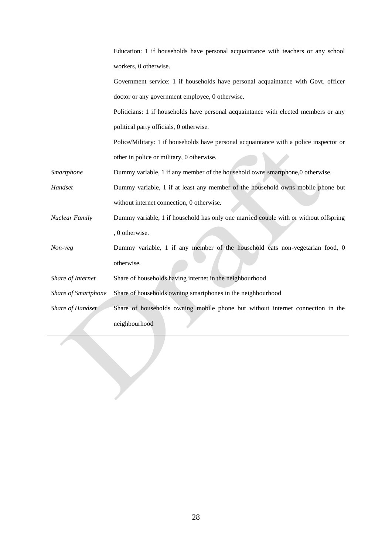|                     | Education: 1 if households have personal acquaintance with teachers or any school      |
|---------------------|----------------------------------------------------------------------------------------|
|                     | workers, 0 otherwise.                                                                  |
|                     | Government service: 1 if households have personal acquaintance with Govt. officer      |
|                     | doctor or any government employee, 0 otherwise.                                        |
|                     | Politicians: 1 if households have personal acquaintance with elected members or any    |
|                     | political party officials, 0 otherwise.                                                |
|                     | Police/Military: 1 if households have personal acquaintance with a police inspector or |
|                     | other in police or military, 0 otherwise.                                              |
| Smartphone          | Dummy variable, 1 if any member of the household owns smartphone, 0 otherwise.         |
| Handset             | Dummy variable, 1 if at least any member of the household owns mobile phone but        |
|                     | without internet connection, 0 otherwise.                                              |
| Nuclear Family      | Dummy variable, 1 if household has only one married couple with or without offspring   |
|                     | , 0 otherwise.                                                                         |
| Non-veg             | Dummy variable, 1 if any member of the household eats non-vegetarian food, 0           |
|                     | otherwise.                                                                             |
| Share of Internet   | Share of households having internet in the neighbourhood                               |
| Share of Smartphone | Share of households owning smartphones in the neighbourhood                            |
| Share of Handset    | Share of households owning mobile phone but without internet connection in the         |
|                     | neighbourhood                                                                          |
|                     |                                                                                        |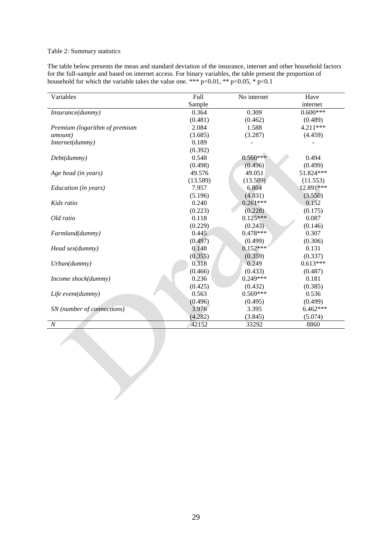#### Table 2: Summary statistics

The table below presents the mean and standard deviation of the insurance, internet and other household factors for the full-sample and based on internet access. For binary variables, the table present the proportion of household for which the variable takes the value one. \*\*\*  $p<0.01$ , \*\*  $p<0.05$ , \*  $p<0.1$ 

| Variables                     | Full     | No internet | Have       |
|-------------------------------|----------|-------------|------------|
|                               | Sample   |             | internet   |
| Insurance(dummy)              | 0.364    | 0.309       | $0.600***$ |
|                               | (0.481)  | (0.462)     | (0.489)    |
| Premium (logarithm of premium | 2.084    | 1.588       | $4.211***$ |
| <i>amount</i> )               | (3.685)  | (3.287)     | (4.459)    |
| Internet(dummy)               | 0.189    |             |            |
|                               | (0.392)  |             |            |
| Debt(dummy)                   | 0.548    | $0.560***$  | 0.494      |
|                               | (0.498)  | (0.496)     | (0.499)    |
| Age head (in years)           | 49.576   | 49.051      | 51.824***  |
|                               | (13.589) | (13.589)    | (11.553)   |
| Education (in years)          | 7.957    | 6.804       | 12.891***  |
|                               | (5.196)  | (4.831)     | (3.550)    |
| Kids ratio                    | 0.240    | $0.261***$  | 0.152      |
|                               | (0.223)  | (0.228)     | (0.175)    |
| Old ratio                     | 0.118    | $0.125***$  | 0.087      |
|                               | (0.229)  | (0.243)     | (0.146)    |
| Farmland(dummy)               | 0.445    | $0.478***$  | 0.307      |
|                               | (0.497)  | (0.499)     | (0.306)    |
| Head sex(dummy)               | 0.148    | $0.152***$  | 0.131      |
|                               | (0.355)  | (0.359)     | (0.337)    |
| Urban(dummy)                  | 0.318    | 0.249       | $0.613***$ |
|                               | (0.466)  | (0.433)     | (0.487)    |
| Income shock(dummy)           | 0.236    | $0.249***$  | 0.181      |
|                               | (0.425)  | (0.432)     | (0.385)    |
| Life event(dummy)             | 0.563    | $0.569***$  | 0.536      |
|                               | (0.496)  | (0.495)     | (0.499)    |
| SN (number of connections)    | 3.976    | 3.395       | $6.462***$ |
|                               | (4.282)  | (3.845)     | (5.074)    |
| $\cal N$                      | 42152    | 33292       | 8860       |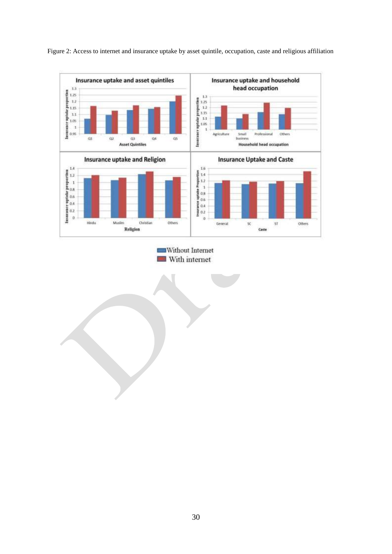

Figure 2: Access to internet and insurance uptake by asset quintile, occupation, caste and religious affiliation

Without Internet With internet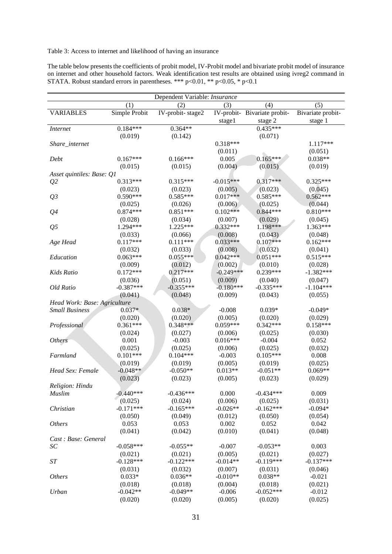# Table 3: Access to internet and likelihood of having an insurance

| The table below presents the coefficients of probit model, IV-Probit model and bivariate probit model of insurance |
|--------------------------------------------------------------------------------------------------------------------|
| on internet and other household factors. Weak identification test results are obtained using ivreg2 command in     |
| STATA. Robust standard errors in parentheses. *** $p<0.01$ , ** $p<0.05$ , * $p<0.1$                               |

| Dependent Variable: Insurance |               |                  |             |                              |                   |  |
|-------------------------------|---------------|------------------|-------------|------------------------------|-------------------|--|
|                               | (1)           | (2)              | (3)         | (4)                          | (5)               |  |
| <b>VARIABLES</b>              | Simple Probit | IV-probit-stage2 |             | IV-probit- Bivariate probit- | Bivariate probit- |  |
|                               |               |                  | stage1      | stage 2                      | stage 1           |  |
| <i>Internet</i>               | $0.184***$    | $0.364**$        |             | $0.435***$                   |                   |  |
|                               | (0.019)       | (0.142)          |             | (0.071)                      |                   |  |
| Share_internet                |               |                  | $0.318***$  |                              | $1.117***$        |  |
|                               |               |                  | (0.011)     |                              | (0.051)           |  |
| Debt                          | $0.167***$    | $0.166***$       | 0.005       | $0.165***$                   | $0.038**$         |  |
|                               | (0.015)       | (0.015)          | (0.004)     | (0.015)                      | (0.019)           |  |
| Asset quintiles: Base: Q1     |               |                  |             |                              |                   |  |
| Q <sub>2</sub>                | $0.313***$    | $0.315***$       | $-0.015***$ | $0.317***$                   | $0.325***$        |  |
|                               | (0.023)       | (0.023)          | (0.005)     | (0.023)                      | (0.045)           |  |
| Q <sub>3</sub>                | $0.590***$    | $0.585***$       | $0.017***$  | $0.585***$                   | $0.562***$        |  |
|                               | (0.025)       | (0.026)          | (0.006)     | (0.025)                      | (0.044)           |  |
| Q <sub>4</sub>                | $0.874***$    | $0.851***$       | $0.102***$  | $0.844***$                   | $0.810***$        |  |
|                               | (0.028)       | (0.034)          | (0.007)     | (0.029)                      | (0.045)           |  |
| Q <sub>5</sub>                | 1.294***      | 1.225***         | $0.332***$  | 1.198***                     | $1.363***$        |  |
|                               | (0.033)       | (0.066)          | (0.008)     | (0.043)                      | (0.048)           |  |
| Age Head                      | $0.117***$    | $0.111***$       | $0.033***$  | $0.107***$                   | $0.162***$        |  |
|                               | (0.032)       | (0.033)          | (0.008)     | (0.032)                      | (0.041)           |  |
| Education                     | $0.063***$    | $0.055***$       | $0.042***$  | $0.051***$                   | $0.515***$        |  |
|                               | (0.009)       | (0.012)          | (0.002)     | (0.010)                      | (0.028)           |  |
| Kids Ratio                    | $0.172***$    | $0.217***$       | $-0.249***$ | $0.239***$                   | $-1.382***$       |  |
|                               | (0.036)       | (0.051)          | (0.009)     | (0.040)                      | (0.047)           |  |
| Old Ratio                     | $-0.387***$   | $-0.355***$      | $-0.180***$ | $-0.335***$                  | $-1.104***$       |  |
|                               | (0.041)       | (0.048)          | (0.009)     | (0.043)                      | (0.055)           |  |
| Head Work: Base: Agriculture  |               |                  |             |                              |                   |  |
| <b>Small Business</b>         | $0.037*$      | $0.038*$         | $-0.008$    | $0.039*$                     | $-0.049*$         |  |
|                               | (0.020)       | (0.020)          | (0.005)     | (0.020)                      | (0.029)           |  |
| Professional                  | $0.361***$    | $0.348***$       | $0.059***$  | $0.342***$                   | $0.158***$        |  |
|                               | (0.024)       | (0.027)          | (0.006)     | (0.025)                      | (0.030)           |  |
| <b>Others</b>                 | 0.001         | $-0.003$         | $0.016***$  | $-0.004$                     | 0.052             |  |
|                               | (0.025)       | (0.025)          | (0.006)     | (0.025)                      | (0.032)           |  |
| Farmland                      | $0.101***$    | $0.104***$       | $-0.003$    | $0.105***$                   | 0.008             |  |
|                               | (0.019)       | (0.019)          | (0.005)     | (0.019)                      | (0.025)           |  |
| Head Sex: Female              | $-0.048**$    | $-0.050**$       | $0.013**$   | $-0.051**$                   | $0.069**$         |  |
|                               | (0.023)       | (0.023)          | (0.005)     | (0.023)                      | (0.029)           |  |
| Religion: Hindu               |               |                  |             |                              |                   |  |
| Muslim                        | $-0.440***$   | $-0.436***$      | 0.000       | $-0.434***$                  | 0.009             |  |
|                               | (0.025)       | (0.024)          | (0.006)     | (0.025)                      | (0.031)           |  |
| Christian                     | $-0.171***$   | $-0.165***$      | $-0.026**$  | $-0.162***$                  | $-0.094*$         |  |
|                               | (0.050)       | (0.049)          | (0.012)     | (0.050)                      | (0.054)           |  |
| <b>Others</b>                 | 0.053         | 0.053            | 0.002       | 0.052                        | 0.042             |  |
|                               | (0.041)       | (0.042)          | (0.010)     | (0.041)                      | (0.048)           |  |
| Cast: Base: General           |               |                  |             |                              |                   |  |
| $\cal SC$                     | $-0.058***$   | $-0.055**$       | $-0.007$    | $-0.053**$                   | 0.003             |  |
|                               | (0.021)       | (0.021)          | (0.005)     | (0.021)                      | (0.027)           |  |
| ST                            | $-0.128***$   | $-0.122***$      | $-0.014**$  | $-0.119***$                  | $-0.137***$       |  |
|                               | (0.031)       | (0.032)          | (0.007)     | (0.031)                      | (0.046)           |  |
| <b>Others</b>                 | $0.033*$      | $0.036**$        | $-0.010**$  | $0.038**$                    | $-0.021$          |  |
|                               | (0.018)       | (0.018)          | (0.004)     | (0.018)                      | (0.021)           |  |
| Urban                         | $-0.042**$    | $-0.049**$       | $-0.006$    | $-0.052***$                  | $-0.012$          |  |
|                               | (0.020)       | (0.020)          | (0.005)     | (0.020)                      | (0.025)           |  |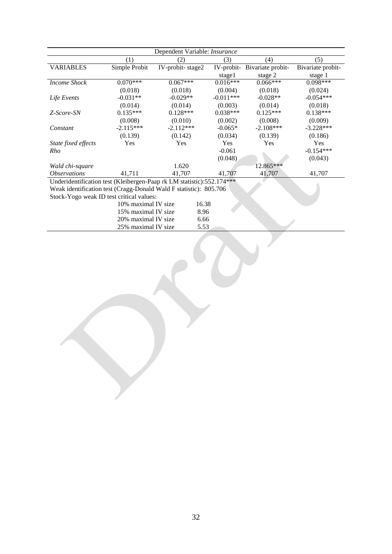|                                                                       |                     | Dependent Variable: Insurance |             |                   |                   |
|-----------------------------------------------------------------------|---------------------|-------------------------------|-------------|-------------------|-------------------|
|                                                                       | (1)                 | (2)                           | (3)         | (4)               | (5)               |
| <b>VARIABLES</b>                                                      | Simple Probit       | IV-probit-stage2              | IV-probit-  | Bivariate probit- | Bivariate probit- |
|                                                                       |                     |                               | stage1      | stage 2           | stage 1           |
| <b>Income Shock</b>                                                   | $0.070***$          | $0.067***$                    | $0.016***$  | $0.066***$        | $0.098***$        |
|                                                                       | (0.018)             | (0.018)                       | (0.004)     | (0.018)           | (0.024)           |
| Life Events                                                           | $-0.031**$          | $-0.029**$                    | $-0.011***$ | $-0.028**$        | $-0.054***$       |
|                                                                       | (0.014)             | (0.014)                       | (0.003)     | (0.014)           | (0.018)           |
| Z-Score-SN                                                            | $0.135***$          | $0.128***$                    | $0.038***$  | $0.125***$        | $0.138***$        |
|                                                                       | (0.008)             | (0.010)                       | (0.002)     | (0.008)           | (0.009)           |
| Constant                                                              | $-2.115***$         | $-2.112***$                   | $-0.065*$   | $-2.108***$       | $-3.228***$       |
|                                                                       | (0.139)             | (0.142)                       | (0.034)     | (0.139)           | (0.186)           |
| State fixed effects                                                   | <b>Yes</b>          | Yes                           | Yes         | Yes               | Yes               |
| Rho                                                                   |                     |                               | $-0.061$    |                   | $-0.154***$       |
|                                                                       |                     |                               | (0.048)     |                   | (0.043)           |
| Wald chi-square                                                       |                     | 1.620                         |             | 12.865***         |                   |
| <i><b>Observations</b></i>                                            | 41,711              | 41,707                        | 41,707      | 41,707            | 41,707            |
| Underidentification test (Kleibergen-Paap rk LM statistic):552.174*** |                     |                               |             |                   |                   |
| Weak identification test (Cragg-Donald Wald F statistic): 805.706     |                     |                               |             |                   |                   |
| Stock-Yogo weak ID test critical values:                              |                     |                               |             |                   |                   |
|                                                                       | 10% maximal IV size | 16.38                         |             |                   |                   |
|                                                                       | 15% maximal IV size | 8.96                          |             |                   |                   |
|                                                                       | 20% maximal IV size | 6.66                          |             |                   |                   |
|                                                                       | 25% maximal IV size | 5.53                          |             |                   |                   |

 $\frac{1}{2}$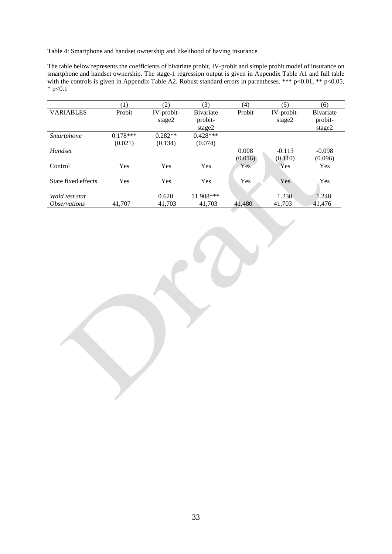Table 4: Smartphone and handset ownership and likelihood of having insurance

The table below represents the coefficients of bivariate probit, IV-probit and simple probit model of insurance on smartphone and handset ownership. The stage-1 regression output is given in Appendix Table A1 and full table with the controls is given in Appendix Table A2. Robust standard errors in parentheses. \*\*\* p<0.01, \*\* p<0.05,  $*$  p<0.1

|                            | $\left(1\right)$ | (2)        | (3)        | (4)     | (5)        | (6)               |
|----------------------------|------------------|------------|------------|---------|------------|-------------------|
| <b>VARIABLES</b>           | Probit           | IV-probit- | Bivariate  | Probit  | IV-probit- | <b>B</b> ivariate |
|                            |                  | stage2     | probit-    |         | stage2     | probit-           |
|                            |                  |            | stage2     |         |            | stage2            |
| Smartphone                 | $0.178***$       | $0.282**$  | $0.428***$ |         |            |                   |
|                            | (0.021)          | (0.134)    | (0.074)    |         |            |                   |
| Handset                    |                  |            |            | 0.008   | $-0.113$   | $-0.098$          |
|                            |                  |            |            | (0.016) | (0.110)    | (0.096)           |
| Control                    | Yes              | Yes        | Yes        | Yes     | Yes        | Yes               |
|                            |                  |            |            |         |            |                   |
| State fixed effects        | Yes              | Yes        | Yes        | Yes     | Yes        | Yes               |
|                            |                  |            |            |         |            |                   |
| Wald test stat             |                  | 0.620      | 11.908***  |         | 1.230      | 1.248             |
| <i><b>Observations</b></i> | 41.707           | 41,703     | 41.703     | 41.480  | 41,703     | 41,476            |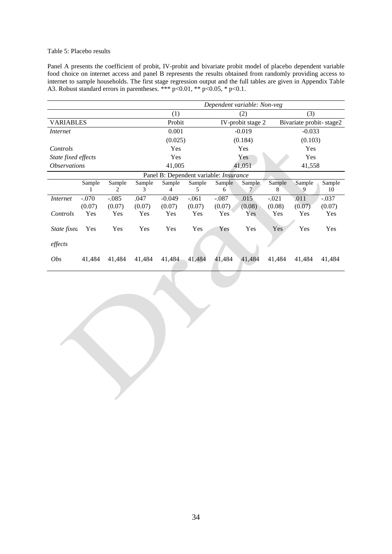#### Table 5: Placebo results

Panel A presents the coefficient of probit, IV-probit and bivariate probit model of placebo dependent variable food choice on internet access and panel B represents the results obtained from randomly providing access to internet to sample households. The first stage regression output and the full tables are given in Appendix Table A3. Robust standard errors in parentheses. \*\*\* p<0.01, \*\* p<0.05, \* p<0.1.

|                            |         |         | Dependent variable: Non-veg |                                        |         |         |                   |         |                         |         |
|----------------------------|---------|---------|-----------------------------|----------------------------------------|---------|---------|-------------------|---------|-------------------------|---------|
|                            |         |         |                             | (1)                                    |         |         | (2)               |         | (3)                     |         |
| <b>VARIABLES</b>           |         |         |                             | Probit                                 |         |         | IV-probit stage 2 |         | Bivariate probit-stage2 |         |
| <i>Internet</i>            |         |         |                             | 0.001                                  |         |         | $-0.019$          |         | $-0.033$                |         |
|                            |         |         |                             | (0.025)                                |         |         | (0.184)           |         | (0.103)                 |         |
| Controls                   |         |         |                             | Yes                                    |         |         | Yes               |         | Yes                     |         |
| State fixed effects        |         |         |                             | Yes                                    |         |         | Yes               |         | Yes                     |         |
| <i><b>Observations</b></i> |         |         |                             | 41,005                                 |         |         | 41,051            |         | 41,558                  |         |
|                            |         |         |                             | Panel B: Dependent variable: Insurance |         |         |                   |         |                         |         |
|                            | Sample  | Sample  | Sample                      | Sample                                 | Sample  | Sample  | Sample            | Sample  | Sample                  | Sample  |
|                            |         | 2       | 3                           | 4                                      | 5       | 6       |                   | 8       |                         | 10      |
| <i>Internet</i>            | $-.070$ | $-.085$ | .047                        | $-0.049$                               | $-.061$ | $-.087$ | .015              | $-.021$ | .011                    | $-.037$ |
|                            | (0.07)  | (0.07)  | (0.07)                      | (0.07)                                 | (0.07)  | (0.07)  | (0.08)            | (0.08)  | (0.07)                  | (0.07)  |
| Controls                   | Yes     | Yes     | Yes                         | Yes                                    | Yes     | Yes     | Yes               | Yes     | Yes                     | Yes     |
| State fixea                | Yes     | Yes     | Yes                         | Yes                                    | Yes     | Yes     | Yes               | Yes     | Yes                     | Yes     |
| effects                    |         |         |                             |                                        |         |         |                   |         |                         |         |
| <i>Obs</i>                 | 41,484  | 41,484  | 41,484                      | 41,484                                 | 41,484  | 41,484  | 41,484            | 41,484  | 41,484                  | 41,484  |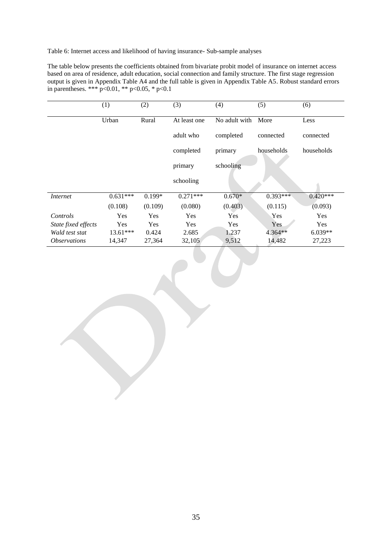Table 6: Internet access and likelihood of having insurance- Sub-sample analyses

The table below presents the coefficients obtained from bivariate probit model of insurance on internet access based on area of residence, adult education, social connection and family structure. The first stage regression output is given in Appendix Table A4 and the full table is given in Appendix Table A5. Robust standard errors in parentheses. \*\*\* p<0.01, \*\* p<0.05, \* p<0.1

|                            | (1)        | (2)      | (3)          | (4)           | (5)        | (6)        |
|----------------------------|------------|----------|--------------|---------------|------------|------------|
|                            | Urban      | Rural    | At least one | No adult with | More       | Less       |
|                            |            |          | adult who    | completed     | connected  | connected  |
|                            |            |          | completed    | primary       | households | households |
|                            |            |          | primary      | schooling     |            |            |
|                            |            |          | schooling    |               |            |            |
| Internet                   | $0.631***$ | $0.199*$ | $0.271***$   | $0.670*$      | $0.393***$ | $0.420***$ |
|                            | (0.108)    | (0.109)  | (0.080)      | (0.403)       | (0.115)    | (0.093)    |
| Controls                   | Yes        | Yes      | Yes          | Yes           | Yes        | <b>Yes</b> |
| State fixed effects        | Yes        | Yes      | Yes          | <b>Yes</b>    | Yes        | Yes        |
| Wald test stat             | $13.61***$ | 0.424    | 2.685        | 1.237         | 4.364**    | $6.039**$  |
| <i><b>Observations</b></i> | 14,347     | 27,364   | 32,105       | 9,512         | 14,482     | 27,223     |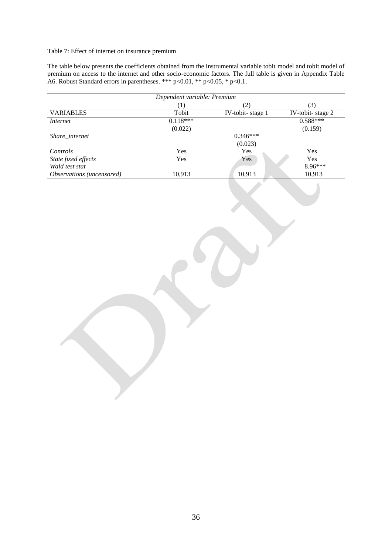#### Table 7: Effect of internet on insurance premium

The table below presents the coefficients obtained from the instrumental variable tobit model and tobit model of premium on access to the internet and other socio-economic factors. The full table is given in Appendix Table A6. Robust Standard errors in parentheses. \*\*\* p<0.01, \*\* p<0.05, \* p<0.1.

|                           | Dependent variable: Premium |                  |                                             |
|---------------------------|-----------------------------|------------------|---------------------------------------------|
|                           | (1)                         | $\overline{(2)}$ | $\overline{(3)}$                            |
| <b>VARIABLES</b>          | Tobit                       | IV-tobit-stage 1 | $\frac{\text{IV-tobit- stage 2}}{0.588***}$ |
| <b>Internet</b>           | $0.118***$                  |                  |                                             |
|                           | (0.022)                     |                  | (0.159)                                     |
| Share_internet            |                             | $0.346***$       |                                             |
|                           |                             | (0.023)          |                                             |
| Controls                  | Yes                         | Yes              | Yes                                         |
| State fixed effects       | $\operatorname{Yes}$        | Yes              | Yes                                         |
| Wald test stat            |                             |                  | 8.96***                                     |
| Observations (uncensored) | 10,913                      | 10,913           | 10,913                                      |
|                           |                             |                  |                                             |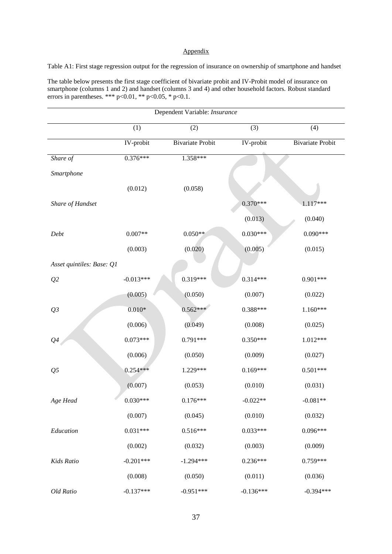#### Appendix

Table A1: First stage regression output for the regression of insurance on ownership of smartphone and handset

The table below presents the first stage coefficient of bivariate probit and IV-Probit model of insurance on smartphone (columns 1 and 2) and handset (columns 3 and 4) and other household factors. Robust standard errors in parentheses. \*\*\*  $p<0.01$ , \*\*  $p<0.05$ , \*  $p<0.1$ .

| Dependent Variable: Insurance |                        |                         |             |                         |  |  |  |
|-------------------------------|------------------------|-------------------------|-------------|-------------------------|--|--|--|
|                               | (1)                    | (2)                     | (3)         | (4)                     |  |  |  |
|                               | IV-probit              | <b>Bivariate Probit</b> | IV-probit   | <b>Bivariate Probit</b> |  |  |  |
| Share of                      | $0.376***$             | 1.358***                |             |                         |  |  |  |
| Smartphone                    |                        |                         |             |                         |  |  |  |
|                               | (0.012)                | (0.058)                 |             |                         |  |  |  |
| Share of Handset              |                        |                         | $0.370***$  | 1.117***                |  |  |  |
|                               |                        |                         | (0.013)     | (0.040)                 |  |  |  |
| Debt                          | $0.007**$              | $0.050**$               | $0.030***$  | $0.090***$              |  |  |  |
|                               | (0.003)                | (0.020)                 | (0.005)     | (0.015)                 |  |  |  |
| Asset quintiles: Base: Q1     |                        |                         |             |                         |  |  |  |
| Q2                            | $-0.013***$            | 0.319***                | $0.314***$  | $0.901***$              |  |  |  |
|                               | (0.005)                | (0.050)                 | (0.007)     | (0.022)                 |  |  |  |
| Q3                            | $0.010\ensuremath{^*}$ | $0.562***$              | 0.388***    | $1.160***$              |  |  |  |
|                               | (0.006)                | (0.049)                 | (0.008)     | (0.025)                 |  |  |  |
| $\mathcal{Q}4$                | $0.073***$             | 0.791***                | $0.350***$  | 1.012***                |  |  |  |
|                               | (0.006)                | (0.050)                 | (0.009)     | (0.027)                 |  |  |  |
| Q <sub>5</sub>                | $0.254***$             | 1.229***                | $0.169***$  | $0.501***$              |  |  |  |
|                               | (0.007)                | (0.053)                 | (0.010)     | (0.031)                 |  |  |  |
| Age Head                      | $0.030***$             | $0.176***$              | $-0.022**$  | $0.081**$               |  |  |  |
|                               | (0.007)                | (0.045)                 | (0.010)     | (0.032)                 |  |  |  |
| Education                     | $0.031***$             | $0.516***$              | $0.033***$  | $0.096***$              |  |  |  |
|                               | (0.002)                | (0.032)                 | (0.003)     | (0.009)                 |  |  |  |
| Kids Ratio                    | $-0.201***$            | $-1.294***$             | $0.236***$  | $0.759***$              |  |  |  |
|                               | (0.008)                | (0.050)                 | (0.011)     | (0.036)                 |  |  |  |
| Old Ratio                     | $-0.137***$            | $-0.951***$             | $-0.136***$ | $-0.394***$             |  |  |  |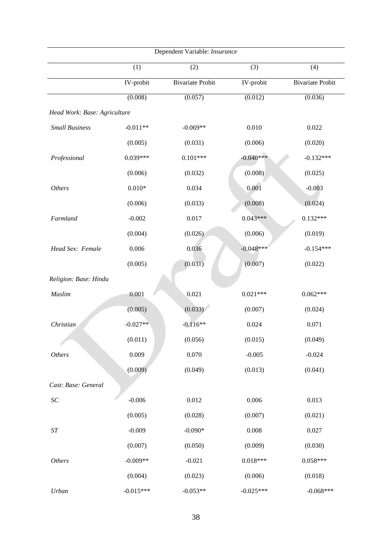| Dependent Variable: Insurance |             |                         |             |                         |  |  |  |
|-------------------------------|-------------|-------------------------|-------------|-------------------------|--|--|--|
|                               | (1)         | (2)                     | (3)         | (4)                     |  |  |  |
|                               | IV-probit   | <b>Bivariate Probit</b> | IV-probit   | <b>Bivariate Probit</b> |  |  |  |
|                               | (0.008)     | (0.057)                 | (0.012)     | (0.036)                 |  |  |  |
| Head Work: Base: Agriculture  |             |                         |             |                         |  |  |  |
| <b>Small Business</b>         | $-0.011**$  | $-0.069**$              | 0.010       | 0.022                   |  |  |  |
|                               | (0.005)     | (0.031)                 | (0.006)     | (0.020)                 |  |  |  |
| Professional                  | $0.039***$  | $0.101***$              | $-0.040***$ | $-0.132***$             |  |  |  |
|                               | (0.006)     | (0.032)                 | (0.008)     | (0.025)                 |  |  |  |
| <b>Others</b>                 | $0.010*$    | 0.034                   | 0.001       | $-0.003$                |  |  |  |
|                               | (0.006)     | (0.033)                 | (0.008)     | (0.024)                 |  |  |  |
| Farmland                      | $-0.002$    | 0.017                   | $0.043***$  | $0.132***$              |  |  |  |
|                               | (0.004)     | (0.026)                 | (0.006)     | (0.019)                 |  |  |  |
| Head Sex: Female              | 0.006       | 0.036                   | $-0.048***$ | $-0.154***$             |  |  |  |
|                               | (0.005)     | (0.031)                 | (0.007)     | (0.022)                 |  |  |  |
| Religion: Base: Hindu         |             |                         |             |                         |  |  |  |
| Muslim                        | 0.001       | 0.021                   | $0.021***$  | $0.062***$              |  |  |  |
|                               | (0.005)     | (0.033)                 | (0.007)     | (0.024)                 |  |  |  |
| Christian                     | $-0.027**$  | $-0.116**$              | 0.024       | 0.071                   |  |  |  |
|                               | (0.011)     | (0.056)                 | (0.015)     | (0.049)                 |  |  |  |
| <b>Others</b>                 | 0.009       | 0.070                   | $-0.005$    | $-0.024$                |  |  |  |
|                               | (0.009)     | (0.049)                 | (0.013)     | (0.041)                 |  |  |  |
| Cast: Base: General           |             |                         |             |                         |  |  |  |
| SC                            | $-0.006$    | 0.012                   | 0.006       | 0.013                   |  |  |  |
|                               | (0.005)     | (0.028)                 | (0.007)     | (0.021)                 |  |  |  |
| $\cal ST$                     | $-0.009$    | $-0.090*$               | 0.008       | 0.027                   |  |  |  |
|                               | (0.007)     | (0.050)                 | (0.009)     | (0.030)                 |  |  |  |
| <b>Others</b>                 | $-0.009**$  | $-0.021$                | $0.018***$  | $0.058***$              |  |  |  |
|                               | (0.004)     | (0.023)                 | (0.006)     | (0.018)                 |  |  |  |
| Urban                         | $-0.015***$ | $-0.053**$              | $-0.025***$ | $-0.068***$             |  |  |  |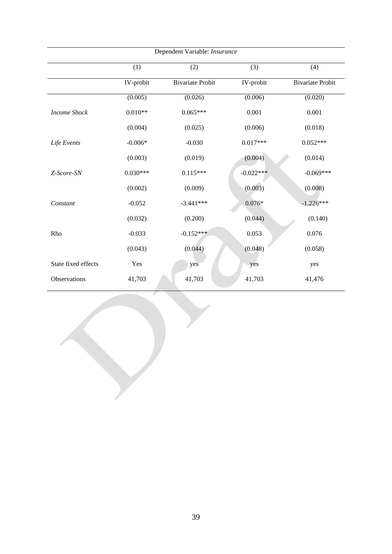| Dependent Variable: Insurance |            |                         |            |                         |  |  |  |  |  |
|-------------------------------|------------|-------------------------|------------|-------------------------|--|--|--|--|--|
|                               | (1)        | (2)                     | (3)        | (4)                     |  |  |  |  |  |
|                               | IV-probit  | <b>Bivariate Probit</b> | IV-probit  | <b>Bivariate Probit</b> |  |  |  |  |  |
|                               | (0.005)    | (0.026)                 | (0.006)    | (0.020)                 |  |  |  |  |  |
| <b>Income Shock</b>           | $0.010**$  | $0.065***$              | 0.001      | 0.001                   |  |  |  |  |  |
|                               | (0.004)    | (0.025)                 | (0.006)    | (0.018)                 |  |  |  |  |  |
| Life Events                   | $-0.006*$  | $-0.030$                | $0.017***$ | $0.052***$              |  |  |  |  |  |
|                               | (0.003)    | (0.019)                 | (0.004)    | (0.014)                 |  |  |  |  |  |
| Z-Score-SN                    | $0.030***$ | $0.115***$              | $-0.022**$ | $-0.069***$             |  |  |  |  |  |
|                               | (0.002)    | (0.009)                 | (0.003)    | (0.008)                 |  |  |  |  |  |
| Constant                      | $-0.052$   | $-3.441***$             | $0.076*$   | $-1.226***$             |  |  |  |  |  |
|                               | (0.032)    | (0.200)                 | (0.044)    | (0.140)                 |  |  |  |  |  |
| Rho                           | $-0.033$   | $-0.152***$             | 0.053      | 0.076                   |  |  |  |  |  |
|                               | (0.043)    | (0.044)                 | (0.048)    | (0.058)                 |  |  |  |  |  |
| State fixed effects           | Yes        | yes                     | yes        | yes                     |  |  |  |  |  |
| Observations                  | 41,703     | 41,703                  | 41,703     | 41,476                  |  |  |  |  |  |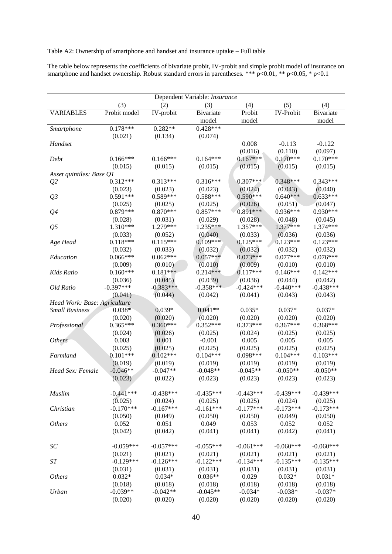#### Table A2: Ownership of smartphone and handset and insurance uptake – Full table

The table below represents the coefficients of bivariate probit, IV-probit and simple probit model of insurance on smartphone and handset ownership. Robust standard errors in parentheses. \*\*\*  $p<0.01$ , \*\*  $p<0.05$ , \*  $p<0.1$ 

| Dependent Variable: Insurance |              |             |             |             |                  |             |  |  |
|-------------------------------|--------------|-------------|-------------|-------------|------------------|-------------|--|--|
|                               | (3)          | (2)         | (3)         | (4)         | (5)              | (4)         |  |  |
| <b>VARIABLES</b>              | Probit model | IV-probit   | Bivariate   | Probit      | <b>IV-Probit</b> | Bivariate   |  |  |
|                               |              |             | model       | model       |                  | model       |  |  |
| Smartphone                    | $0.178***$   | $0.282**$   | $0.428***$  |             |                  |             |  |  |
|                               | (0.021)      | (0.134)     | (0.074)     |             |                  |             |  |  |
| Handset                       |              |             |             | 0.008       | $-0.113$         | $-0.122$    |  |  |
|                               |              |             |             | (0.016)     | (0.110)          | (0.097)     |  |  |
| Debt                          | $0.166***$   | $0.166***$  | $0.164***$  | $0.167***$  | $0.170***$       | $0.170***$  |  |  |
|                               | (0.015)      | (0.015)     | (0.015)     | (0.015)     | (0.015)          | (0.015)     |  |  |
| Asset quintiles: Base Q1      |              |             |             |             |                  |             |  |  |
| Q <sub>2</sub>                | $0.312***$   | $0.313***$  | $0.316***$  | $0.307***$  | $0.348***$       | $0.343***$  |  |  |
|                               | (0.023)      | (0.023)     | (0.023)     | (0.024)     | (0.043)          | (0.040)     |  |  |
| Q <sub>3</sub>                | $0.591***$   | $0.589***$  | $0.588***$  | $0.590***$  | $0.640***$       | $0.633***$  |  |  |
|                               | (0.025)      | (0.025)     | (0.025)     | (0.026)     | (0.051)          | (0.047)     |  |  |
| Q <sub>4</sub>                | $0.879***$   | $0.870***$  | $0.857***$  | $0.891***$  | 0.936***         | $0.930***$  |  |  |
|                               | (0.028)      | (0.031)     | (0.029)     | (0.028)     | (0.048)          | (0.045)     |  |  |
| Q <sub>5</sub>                | 1.310***     | 1.279***    | $1.235***$  | 1.357***    | 1.377***         | 1.374***    |  |  |
|                               | (0.033)      | (0.052)     | (0.040)     | (0.033)     | (0.036)          | (0.036)     |  |  |
| Age Head                      | $0.118***$   | $0.115***$  | $0.109***$  | $0.125***$  | $0.123***$       | $0.123***$  |  |  |
|                               | (0.032)      | (0.033)     | (0.032)     | (0.032)     | (0.032)          | (0.032)     |  |  |
| Education                     | $0.066***$   | $0.062***$  | $0.057***$  | $0.073***$  | $0.077***$       | $0.076***$  |  |  |
|                               | (0.009)      | (0.010)     | (0.010)     | (0.009)     | (0.010)          | (0.010)     |  |  |
| Kids Ratio                    | $0.160***$   | $0.181***$  | $0.214***$  | $0.117***$  | $0.146***$       | $0.142***$  |  |  |
|                               | (0.036)      | (0.045)     | (0.039)     | (0.036)     | (0.044)          | (0.042)     |  |  |
| Old Ratio                     | $-0.397***$  | $-0.383***$ | $-0.358***$ | $-0.424***$ | $-0.440***$      | $-0.438***$ |  |  |
|                               | (0.041)      | (0.044)     | (0.042)     | (0.041)     | (0.043)          | (0.043)     |  |  |
| Head Work: Base: Agriculture  |              |             |             |             |                  |             |  |  |
| <b>Small Business</b>         | $0.038*$     | $0.039*$    | $0.041**$   | $0.035*$    | $0.037*$         | $0.037*$    |  |  |
|                               | (0.020)      | (0.020)     | (0.020)     | (0.020)     | (0.020)          | (0.020)     |  |  |
| Professional                  | $0.365***$   | $0.360***$  | $0.352***$  | $0.373***$  | $0.367***$       | $0.368***$  |  |  |
|                               | (0.024)      | (0.026)     | (0.025)     | (0.024)     | (0.025)          | (0.025)     |  |  |
| <b>Others</b>                 | 0.003        | 0.001       | $-0.001$    | 0.005       | 0.005            | 0.005       |  |  |
|                               | (0.025)      | (0.025)     | (0.025)     | (0.025)     | (0.025)          | (0.025)     |  |  |
| Farmland                      | $0.101***$   | $0.102***$  | $0.104***$  | $0.098***$  | $0.104***$       | $0.103***$  |  |  |
|                               | (0.019)      | (0.019)     | (0.019)     | (0.019)     | (0.019)          | (0.019)     |  |  |
| Head Sex: Female              | $-0.046**$   | $-0.047**$  | $-0.048**$  | $-0.045**$  | $-0.050**$       | $-0.050**$  |  |  |
|                               | (0.023)      | (0.022)     | (0.023)     | (0.023)     | (0.023)          | (0.023)     |  |  |
| Muslim                        | $-0.441***$  | $-0.438***$ | $-0.435***$ | $-0.443***$ | $-0.439***$      | $-0.439***$ |  |  |
|                               | (0.025)      | (0.024)     | (0.025)     | (0.025)     | (0.024)          | (0.025)     |  |  |
| Christian                     | $-0.170***$  | $-0.167***$ | $-0.161***$ | $-0.177***$ | $-0.173***$      | $-0.173***$ |  |  |
|                               | (0.050)      | (0.049)     | (0.050)     | (0.050)     | (0.049)          | (0.050)     |  |  |
| <b>Others</b>                 | 0.052        | 0.051       | 0.049       | 0.053       | 0.052            | 0.052       |  |  |
|                               | (0.042)      | (0.042)     | (0.041)     | (0.041)     | (0.042)          | (0.041)     |  |  |
| $\cal SC$                     | $-0.059***$  | $-0.057***$ | $-0.055***$ | $-0.061***$ | $-0.060***$      | $-0.060***$ |  |  |
|                               | (0.021)      | (0.021)     | (0.021)     | (0.021)     | (0.021)          | (0.021)     |  |  |
| $\cal ST$                     | $-0.129***$  | $-0.126***$ | $-0.122***$ | $-0.134***$ | $-0.135***$      | $-0.135***$ |  |  |
|                               | (0.031)      | (0.031)     | (0.031)     | (0.031)     | (0.031)          | (0.031)     |  |  |
| <b>Others</b>                 | $0.032*$     | $0.034*$    | $0.036**$   | 0.029       | $0.032*$         | $0.031*$    |  |  |
|                               | (0.018)      | (0.018)     | (0.018)     | (0.018)     | (0.018)          | (0.018)     |  |  |
| Urban                         | $-0.039**$   | $-0.042**$  | $-0.045**$  | $-0.034*$   | $-0.038*$        | $-0.037*$   |  |  |
|                               | (0.020)      | (0.020)     | (0.020)     | (0.020)     | (0.020)          | (0.020)     |  |  |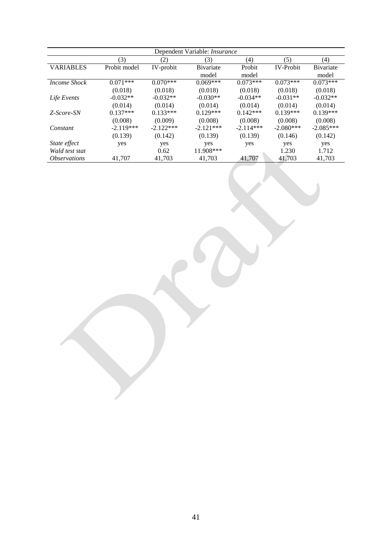| Dependent Variable: <i>Insurance</i>   |              |             |             |             |                  |                   |  |  |  |  |
|----------------------------------------|--------------|-------------|-------------|-------------|------------------|-------------------|--|--|--|--|
| (3)<br>(2)<br>(5)<br>(4)<br>(4)<br>(3) |              |             |             |             |                  |                   |  |  |  |  |
| <b>VARIABLES</b>                       | Probit model | IV-probit   | Bivariate   | Probit      | <b>IV-Probit</b> | <b>B</b> ivariate |  |  |  |  |
|                                        |              |             | model       | model       |                  | model             |  |  |  |  |
| <b>Income Shock</b>                    | $0.071***$   | $0.070***$  | $0.069***$  | $0.073***$  | $0.073***$       | $0.073***$        |  |  |  |  |
|                                        | (0.018)      | (0.018)     | (0.018)     | (0.018)     | (0.018)          | (0.018)           |  |  |  |  |
| Life Events                            | $-0.032**$   | $-0.032**$  | $-0.030**$  | $-0.034**$  | $-0.031**$       | $-0.032**$        |  |  |  |  |
|                                        | (0.014)      | (0.014)     | (0.014)     | (0.014)     | (0.014)          | (0.014)           |  |  |  |  |
| Z-Score-SN                             | $0.137***$   | $0.133***$  | $0.129***$  | $0.142***$  | $0.139***$       | $0.139***$        |  |  |  |  |
|                                        | (0.008)      | (0.009)     | (0.008)     | (0.008)     | (0.008)          | (0.008)           |  |  |  |  |
| Constant                               | $-2.119***$  | $-2.122***$ | $-2.121***$ | $-2.114***$ | $-2.080***$      | $-2.085***$       |  |  |  |  |
|                                        | (0.139)      | (0.142)     | (0.139)     | (0.139)     | (0.146)          | (0.142)           |  |  |  |  |
| State effect                           | yes          | yes         | yes         | yes         | yes              | yes               |  |  |  |  |
| Wald test stat                         |              | 0.62        | 11.908***   |             | 1.230            | 1.712             |  |  |  |  |
| <i><b>Observations</b></i>             | 41.707       | 41.703      | 41.703      | 41,707      | 41.703           | 41.703            |  |  |  |  |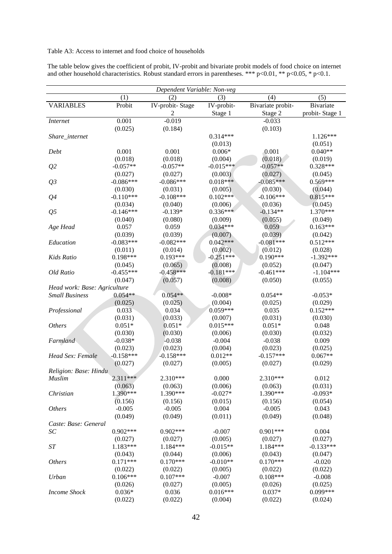## Table A3: Access to internet and food choice of households

| The table below gives the coefficient of probit, IV-probit and bivariate probit models of food choice on internet    |  |
|----------------------------------------------------------------------------------------------------------------------|--|
| and other household characteristics. Robust standard errors in parentheses. *** $p<0.01$ , ** $p<0.05$ , * $p<0.1$ . |  |

| Dependent Variable: Non-veg  |             |                 |             |                   |                |  |  |  |  |
|------------------------------|-------------|-----------------|-------------|-------------------|----------------|--|--|--|--|
|                              | (1)         | (2)             | (3)         | (4)               | (5)            |  |  |  |  |
| <b>VARIABLES</b>             | Probit      | IV-probit-Stage | IV-probit-  | Bivariate probit- | Bivariate      |  |  |  |  |
|                              |             | 2               | Stage 1     | Stage 2           | probit-Stage 1 |  |  |  |  |
| <i>Internet</i>              | 0.001       | $-0.019$        |             | $-0.033$          |                |  |  |  |  |
|                              | (0.025)     | (0.184)         |             | (0.103)           |                |  |  |  |  |
| Share_internet               |             |                 | $0.314***$  |                   | $1.126***$     |  |  |  |  |
|                              |             |                 | (0.013)     |                   | (0.051)        |  |  |  |  |
| Debt                         | 0.001       | 0.001           | $0.006*$    | 0.001             | $0.040**$      |  |  |  |  |
|                              | (0.018)     | (0.018)         | (0.004)     | (0.018)           | (0.019)        |  |  |  |  |
| Q <sub>2</sub>               | $-0.057**$  | $-0.057**$      | $-0.015***$ | $-0.057**$        | $0.328***$     |  |  |  |  |
|                              | (0.027)     | (0.027)         | (0.003)     | (0.027)           | (0.045)        |  |  |  |  |
| Q <sub>3</sub>               | $-0.086***$ | $-0.086***$     | $0.018***$  | $-0.085***$       | $0.569***$     |  |  |  |  |
|                              | (0.030)     | (0.031)         | (0.005)     | (0.030)           | (0.044)        |  |  |  |  |
| Q <sub>4</sub>               | $-0.110***$ | $-0.108***$     | $0.102***$  | $-0.106***$       | $0.815***$     |  |  |  |  |
|                              | (0.034)     | (0.040)         | (0.006)     | (0.036)           | (0.045)        |  |  |  |  |
| Q <sub>5</sub>               | $-0.146***$ | $-0.139*$       | $0.336***$  | $-0.134**$        | 1.370***       |  |  |  |  |
|                              | (0.040)     | (0.080)         | (0.009)     | (0.055)           | (0.049)        |  |  |  |  |
| Age Head                     | 0.057       | 0.059           | $0.034***$  | 0.059             | $0.163***$     |  |  |  |  |
|                              | (0.039)     | (0.039)         | (0.007)     | (0.039)           | (0.042)        |  |  |  |  |
| Education                    | $-0.083***$ | $-0.082***$     | $0.042***$  | $-0.081***$       | $0.512***$     |  |  |  |  |
|                              | (0.011)     | (0.014)         | (0.002)     | (0.012)           | (0.028)        |  |  |  |  |
| Kids Ratio                   | $0.198***$  | $0.193***$      | $-0.251***$ | $0.190***$        | $-1.392***$    |  |  |  |  |
|                              | (0.045)     | (0.065)         | (0.008)     | (0.052)           | (0.047)        |  |  |  |  |
| Old Ratio                    | $-0.455***$ | $-0.458***$     | $-0.181***$ | $-0.461***$       | $-1.104***$    |  |  |  |  |
|                              | (0.047)     | (0.057)         | (0.008)     | (0.050)           | (0.055)        |  |  |  |  |
| Head work: Base: Agriculture |             |                 |             |                   |                |  |  |  |  |
| <b>Small Business</b>        | $0.054**$   | $0.054**$       | $-0.008*$   | $0.054**$         | $-0.053*$      |  |  |  |  |
|                              | (0.025)     | (0.025)         | (0.004)     | (0.025)           | (0.029)        |  |  |  |  |
| Professional                 | 0.033       | 0.034           | 0.059***    | 0.035             | $0.152***$     |  |  |  |  |
|                              | (0.031)     | (0.033)         | (0.007)     | (0.031)           | (0.030)        |  |  |  |  |
| <b>Others</b>                | $0.051*$    | $0.051*$        | $0.015***$  | $0.051*$          | 0.048          |  |  |  |  |
|                              | (0.030)     | (0.030)         | (0.006)     | (0.030)           | (0.032)        |  |  |  |  |
| Farmland                     | $-0.038*$   | $-0.038$        | $-0.004$    | $-0.038$          | 0.009          |  |  |  |  |
|                              | (0.023)     | (0.023)         | (0.004)     | (0.023)           | (0.025)        |  |  |  |  |
| Head Sex: Female             | $-0.158***$ | $-0.158***$     | $0.012**$   | $-0.157***$       | $0.067**$      |  |  |  |  |
|                              | (0.027)     | (0.027)         | (0.005)     | (0.027)           | (0.029)        |  |  |  |  |
| Religion: Base: Hindu        |             |                 |             |                   |                |  |  |  |  |
| Muslim                       | $2.311***$  | $2.310***$      | 0.000       | $2.310***$        | 0.012          |  |  |  |  |
|                              | (0.063)     | (0.063)         | (0.006)     | (0.063)           | (0.031)        |  |  |  |  |
| Christian                    | 1.390***    | 1.390***        | $-0.027*$   | 1.390***          | $-0.093*$      |  |  |  |  |
|                              | (0.156)     | (0.156)         | (0.015)     | (0.156)           | (0.054)        |  |  |  |  |
| <b>Others</b>                | $-0.005$    | $-0.005$        | 0.004       | $-0.005$          | 0.043          |  |  |  |  |
|                              | (0.049)     | (0.049)         | (0.011)     | (0.049)           | (0.048)        |  |  |  |  |
| Caste: Base: General         |             |                 |             |                   |                |  |  |  |  |
| SC                           | $0.902***$  | $0.902***$      | $-0.007$    | $0.901***$        | 0.004          |  |  |  |  |
|                              | (0.027)     | (0.027)         | (0.005)     | (0.027)           | (0.027)        |  |  |  |  |
| ST                           | 1.183***    | 1.184***        | $-0.015**$  | 1.184***          | $-0.133***$    |  |  |  |  |
|                              | (0.043)     | (0.044)         | (0.006)     | (0.043)           | (0.047)        |  |  |  |  |
| <b>Others</b>                | $0.171***$  | $0.170***$      | $-0.010**$  | $0.170***$        | $-0.020$       |  |  |  |  |
|                              | (0.022)     | (0.022)         | (0.005)     | (0.022)           | (0.022)        |  |  |  |  |
| Urban                        | $0.106***$  | $0.107***$      | $-0.007$    | $0.108***$        | $-0.008$       |  |  |  |  |
|                              | (0.026)     | (0.027)         | (0.005)     | (0.026)           | (0.025)        |  |  |  |  |
| <b>Income Shock</b>          | $0.036*$    | 0.036           | $0.016***$  | $0.037*$          | 0.099***       |  |  |  |  |
|                              | (0.022)     | (0.022)         | (0.004)     | (0.022)           | (0.024)        |  |  |  |  |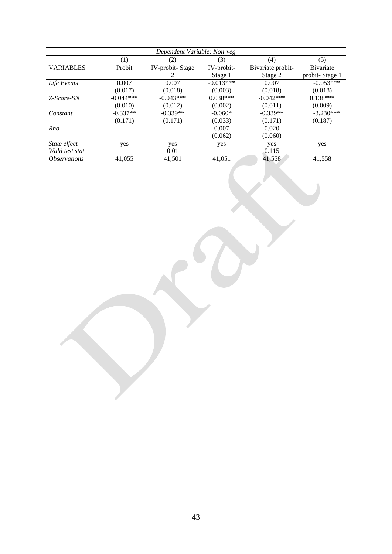| Dependent Variable: Non-veg |             |                 |             |                   |                   |  |  |  |  |  |
|-----------------------------|-------------|-----------------|-------------|-------------------|-------------------|--|--|--|--|--|
|                             | (1)         | (2)             | (3)         | (4)               | (5)               |  |  |  |  |  |
| <b>VARIABLES</b>            | Probit      | IV-probit-Stage | IV-probit-  | Bivariate probit- | <b>B</b> ivariate |  |  |  |  |  |
|                             |             | 2               | Stage 1     | Stage 2           | probit-Stage 1    |  |  |  |  |  |
| Life Events                 | 0.007       | 0.007           | $-0.013***$ | 0.007             | $-0.053***$       |  |  |  |  |  |
|                             | (0.017)     | (0.018)         | (0.003)     | (0.018)           | (0.018)           |  |  |  |  |  |
| Z-Score-SN                  | $-0.044***$ | $-0.043***$     | $0.038***$  | $-0.042***$       | $0.138***$        |  |  |  |  |  |
|                             | (0.010)     | (0.012)         | (0.002)     | (0.011)           | (0.009)           |  |  |  |  |  |
| Constant                    | $-0.337**$  | $-0.339**$      | $-0.060*$   | $-0.339**$        | $-3.230***$       |  |  |  |  |  |
|                             | (0.171)     | (0.171)         | (0.033)     | (0.171)           | (0.187)           |  |  |  |  |  |
| Rho                         |             |                 | 0.007       | 0.020             |                   |  |  |  |  |  |
|                             |             |                 | (0.062)     | (0.060)           |                   |  |  |  |  |  |
| State effect                | yes         | yes             | yes         | yes               | yes               |  |  |  |  |  |
| Wald test stat              |             | 0.01            |             | 0.115             |                   |  |  |  |  |  |
| <i><b>Observations</b></i>  | 41,055      | 41.501          | 41.051      | 41,558            | 41,558            |  |  |  |  |  |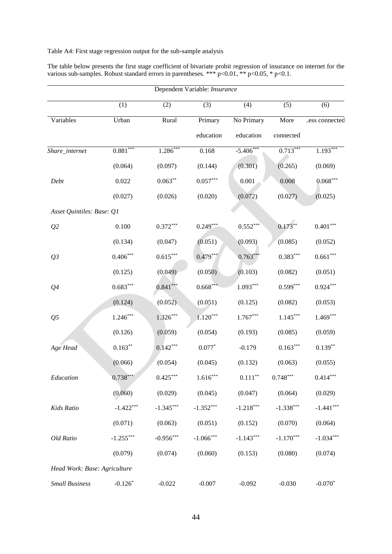# Table A4: First stage regression output for the sub-sample analysis

| The table below presents the first stage coefficient of bivariate probit regression of insurance on internet for the |  |
|----------------------------------------------------------------------------------------------------------------------|--|
| various sub-samples. Robust standard errors in parentheses. *** $p<0.01$ , ** $p<0.05$ , * $p<0.1$ .                 |  |

|                              | Dependent Variable: Insurance |             |                        |                    |             |                |  |  |  |  |  |
|------------------------------|-------------------------------|-------------|------------------------|--------------------|-------------|----------------|--|--|--|--|--|
|                              | (1)                           | (2)         | (3)                    | (4)                | (5)         | (6)            |  |  |  |  |  |
| Variables                    | Urban                         | Rural       | Primary                | No Primary         | More        | Less connected |  |  |  |  |  |
|                              |                               |             | education              | education          | connected   |                |  |  |  |  |  |
| Share_internet               | $0.881***$                    | $1.286***$  | 0.168                  | $-5.406***$        | $0.713***$  | $1.193***$     |  |  |  |  |  |
|                              | (0.064)                       | (0.097)     | (0.144)                | (0.301)            | (0.265)     | (0.069)        |  |  |  |  |  |
| Debt                         | 0.022                         | $0.063**$   | $0.057^{\ast\ast\ast}$ | 0.001              | 0.008       | $0.068***$     |  |  |  |  |  |
|                              | (0.027)                       | (0.026)     | (0.020)                | (0.072)            | (0.027)     | (0.025)        |  |  |  |  |  |
| Asset Quintiles: Base: Q1    |                               |             |                        |                    |             |                |  |  |  |  |  |
| Q2                           | 0.100                         | $0.372***$  | $0.249***$             | $0.552***$         | $0.173**$   | $0.401***$     |  |  |  |  |  |
|                              | (0.134)                       | (0.047)     | (0.051)                | (0.093)            | (0.085)     | (0.052)        |  |  |  |  |  |
| Q <sub>3</sub>               | $0.406***$                    | $0.615***$  | $0.479***$             | $0.763***$         | $0.383***$  | $0.661***$     |  |  |  |  |  |
|                              | (0.125)                       | (0.049)     | (0.050)                | (0.103)            | (0.082)     | (0.051)        |  |  |  |  |  |
| Q <sub>4</sub>               | $0.683***$                    | $0.841***$  | $0.668***$             | $1.093***$         | $0.599***$  | $0.924***$     |  |  |  |  |  |
|                              | (0.124)                       | (0.052)     | (0.051)                | (0.125)            | (0.082)     | (0.053)        |  |  |  |  |  |
| Q <sub>5</sub>               | $1.246***$                    | $1.326***$  | $1.120***$             | $1.767***$         | $1.145***$  | $1.469***$     |  |  |  |  |  |
|                              | (0.126)                       | (0.059)     | (0.054)                | (0.193)            | (0.085)     | (0.059)        |  |  |  |  |  |
| Age Head                     | $0.163**$                     | $0.142***$  | $0.077*$               | $-0.179$           | $0.163***$  | $0.139**$      |  |  |  |  |  |
|                              | (0.066)                       | (0.054)     | (0.045)                | (0.132)            | (0.063)     | (0.055)        |  |  |  |  |  |
| Education                    | $0.738***$                    | $0.425***$  | $1.616***$             | $0.111^{\ast\ast}$ | $0.748***$  | $0.414***$     |  |  |  |  |  |
|                              | (0.060)                       | (0.029)     | (0.045)                | (0.047)            | (0.064)     | (0.029)        |  |  |  |  |  |
| Kids Ratio                   | $-1.422***$                   | $-1.345***$ | $-1.352***$            | $-1.218***$        | $-1.338***$ | $-1.441***$    |  |  |  |  |  |
|                              | (0.071)                       | (0.063)     | (0.051)                | (0.152)            | (0.070)     | (0.064)        |  |  |  |  |  |
| Old Ratio                    | $-1.255***$                   | $-0.956***$ | $-1.066***$            | $-1.143***$        | $-1.170***$ | $-1.034***$    |  |  |  |  |  |
|                              | (0.079)                       | (0.074)     | (0.060)                | (0.153)            | (0.080)     | (0.074)        |  |  |  |  |  |
| Head Work: Base: Agriculture |                               |             |                        |                    |             |                |  |  |  |  |  |
| <b>Small Business</b>        | $-0.126*$                     | $-0.022$    | $-0.007$               | $-0.092$           | $-0.030$    | $-0.070*$      |  |  |  |  |  |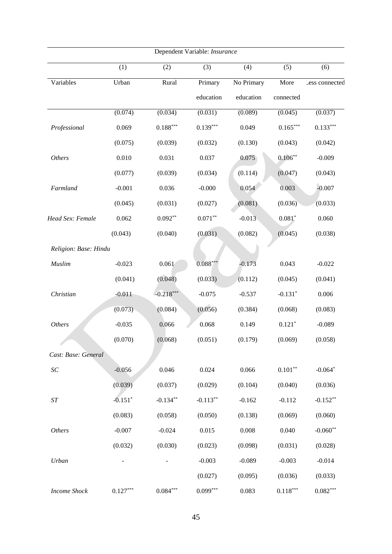|                       |                       |             | Dependent Variable: Insurance |            |                        |                |
|-----------------------|-----------------------|-------------|-------------------------------|------------|------------------------|----------------|
|                       | (1)                   | (2)         | (3)                           | (4)        | (5)                    | (6)            |
| Variables             | Urban                 | Rural       | Primary                       | No Primary | More                   | Less connected |
|                       |                       |             | education                     | education  | connected              |                |
|                       | (0.074)               | (0.034)     | (0.031)                       | (0.089)    | (0.045)                | (0.037)        |
| Professional          | 0.069                 | $0.188***$  | $0.139***$                    | 0.049      | $0.165***$             | $0.133***$     |
|                       | (0.075)               | (0.039)     | (0.032)                       | (0.130)    | (0.043)                | (0.042)        |
| <b>Others</b>         | 0.010                 | 0.031       | 0.037                         | 0.075      | $0.106**$              | $-0.009$       |
|                       | (0.077)               | (0.039)     | (0.034)                       | (0.114)    | (0.047)                | (0.043)        |
| Farmland              | $-0.001$              | 0.036       | $-0.000$                      | 0.054      | 0.003                  | $-0.007$       |
|                       | (0.045)               | (0.031)     | (0.027)                       | (0.081)    | (0.036)                | (0.033)        |
| Head Sex: Female      | 0.062                 | $0.092**$   | $0.071***$                    | $-0.013$   | $0.081*$               | 0.060          |
|                       | (0.043)               | (0.040)     | (0.031)                       | (0.082)    | (0.045)                | (0.038)        |
| Religion: Base: Hindu |                       |             |                               |            |                        |                |
| Muslim                | $-0.023$              | 0.061       | $0.088***$                    | $-0.173$   | 0.043                  | $-0.022$       |
|                       | (0.041)               | (0.048)     | (0.033)                       | (0.112)    | (0.045)                | (0.041)        |
| Christian             | $-0.011$              | $-0.218***$ | $-0.075$                      | $-0.537$   | $-0.131*$              | 0.006          |
|                       | (0.073)               | (0.084)     | (0.056)                       | (0.384)    | (0.068)                | (0.083)        |
| <b>Others</b>         | $-0.035$              | 0.066       | 0.068                         | 0.149      | $0.121*$               | $-0.089$       |
|                       | (0.070)               | (0.068)     | (0.051)                       | (0.179)    | (0.069)                | (0.058)        |
| Cast: Base: General   |                       |             |                               |            |                        |                |
| $\cal SC$             | $-0.056$              | 0.046       | 0.024                         | 0.066      | $0.101***$             | $-0.064*$      |
|                       | (0.039)               | (0.037)     | (0.029)                       | (0.104)    | (0.040)                | (0.036)        |
| $\cal ST$             | $-0.151$ <sup>*</sup> | $-0.134**$  | $-0.113**$                    | $-0.162$   | $-0.112$               | $-0.152**$     |
|                       | (0.083)               | (0.058)     | (0.050)                       | (0.138)    | (0.069)                | (0.060)        |
| <b>Others</b>         | $-0.007$              | $-0.024$    | 0.015                         | 0.008      | 0.040                  | $-0.060**$     |
|                       | (0.032)               | (0.030)     | (0.023)                       | (0.098)    | (0.031)                | (0.028)        |
| Urban                 |                       |             | $-0.003$                      | $-0.089$   | $-0.003$               | $-0.014$       |
|                       |                       |             | (0.027)                       | (0.095)    | (0.036)                | (0.033)        |
| Income Shock          | $0.127***$            | $0.084***$  | $0.099***$                    | 0.083      | $0.118^{\ast\ast\ast}$ | $0.082***$     |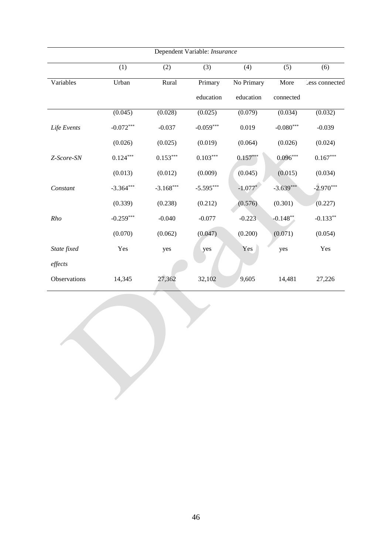| Dependent Variable: Insurance |             |             |             |            |             |                |  |  |  |
|-------------------------------|-------------|-------------|-------------|------------|-------------|----------------|--|--|--|
|                               | (1)         | (2)         | (3)         | (4)        | (5)         | (6)            |  |  |  |
| Variables                     | Urban       | Rural       | Primary     | No Primary | More        | Less connected |  |  |  |
|                               |             |             | education   | education  | connected   |                |  |  |  |
|                               | (0.045)     | (0.028)     | (0.025)     | (0.079)    | (0.034)     | (0.032)        |  |  |  |
| Life Events                   | $-0.072***$ | $-0.037$    | $-0.059***$ | 0.019      | $-0.080***$ | $-0.039$       |  |  |  |
|                               | (0.026)     | (0.025)     | (0.019)     | (0.064)    | (0.026)     | (0.024)        |  |  |  |
| Z-Score-SN                    | $0.124***$  | $0.153***$  | $0.103***$  | $0.157***$ | $0.096***$  | $0.167***$     |  |  |  |
|                               | (0.013)     | (0.012)     | (0.009)     | (0.045)    | (0.015)     | (0.034)        |  |  |  |
| Constant                      | $-3.364***$ | $-3.168***$ | $-5.595***$ | $-1.077*$  | $-3.639***$ | $-2.970***$    |  |  |  |
|                               | (0.339)     | (0.238)     | (0.212)     | (0.576)    | (0.301)     | (0.227)        |  |  |  |
| Rho                           | $-0.259***$ | $-0.040$    | $-0.077$    | $-0.223$   | $-0.148**$  | $-0.133**$     |  |  |  |
|                               | (0.070)     | (0.062)     | (0.047)     | (0.200)    | (0.071)     | (0.054)        |  |  |  |
| State fixed                   | Yes         | yes         | yes         | Yes        | yes         | Yes            |  |  |  |
| effects                       |             |             |             |            |             |                |  |  |  |
| Observations                  | 14,345      | 27,362      | 32,102      | 9,605      | 14,481      | 27,226         |  |  |  |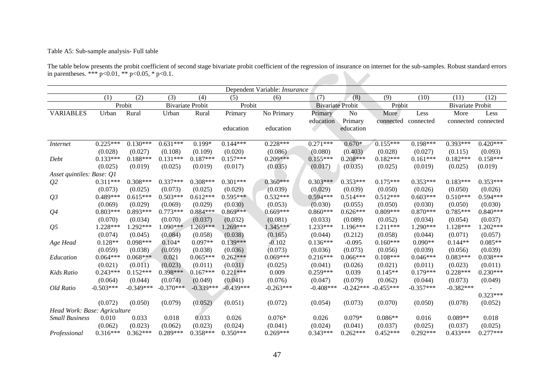## Table A5: Sub-sample analysis- Full table

The table below presents the probit coefficient of second stage bivariate probit coefficient of the regression of insurance on internet for the sub-samples. Robust standard errors in parentheses. \*\*\* p<0.01, \*\* p<0.05, \* p<0.1. 

|                              | Dependent Variable: Insurance |             |             |                         |             |             |                         |                |             |             |                         |                     |
|------------------------------|-------------------------------|-------------|-------------|-------------------------|-------------|-------------|-------------------------|----------------|-------------|-------------|-------------------------|---------------------|
|                              | (1)                           | (2)         | (3)         | (4)                     | (5)         | (6)         | (7)                     | (8)            | (9)         | (10)        | (11)                    | (12)                |
|                              |                               | Probit      |             | <b>Bivariate Probit</b> | Probit      |             | <b>Bivariate Probit</b> |                | Probit      |             | <b>Bivariate Probit</b> |                     |
| <b>VARIABLES</b>             | Urban                         | Rural       | Urban       | Rural                   | Primary     | No Primary  | Primary                 | N <sub>o</sub> | More        | Less        | More                    | Less                |
|                              |                               |             |             |                         |             |             | education               | Primary        | connected   | connected   |                         | connected connected |
|                              |                               |             |             |                         | education   | education   |                         | education      |             |             |                         |                     |
| <i>Internet</i>              | $0.225***$                    | $0.130***$  | $0.631***$  | $0.199*$                | $0.144***$  | $0.228***$  | $0.271***$              | $0.670*$       | $0.155***$  | $0.198***$  | $0.393***$              | $0.420***$          |
|                              | (0.028)                       | (0.027)     | (0.108)     | (0.109)                 | (0.020)     | (0.086)     | (0.080)                 | (0.403)        | (0.028)     | (0.027)     | (0.115)                 | (0.093)             |
| Debt                         | $0.133***$                    | $0.188***$  | $0.131***$  | $0.187***$              | $0.157***$  | $0.209***$  | $0.155***$              | $0.208***$     | $0.182***$  | $0.161***$  | $0.182***$              | $0.158***$          |
|                              | (0.025)                       | (0.019)     | (0.025)     | (0.019)                 | (0.017)     | (0.035)     | (0.017)                 | (0.035)        | (0.025)     | (0.019)     | (0.025)                 | (0.019)             |
| Asset quintiles: Base: Q1    |                               |             |             |                         |             |             |                         |                |             |             |                         |                     |
| Q <sub>2</sub>               | $0.311***$                    | $0.308***$  | $0.337***$  | $0.308***$              | $0.301***$  | $0.360***$  | $0.303***$              | $0.353***$     | $0.175***$  | $0.353***$  | $0.183***$              | $0.353***$          |
|                              | (0.073)                       | (0.025)     | (0.073)     | (0.025)                 | (0.029)     | (0.039)     | (0.029)                 | (0.039)        | (0.050)     | (0.026)     | (0.050)                 | (0.026)             |
| Q <sub>3</sub>               | 0.489***                      | $0.615***$  | $0.503***$  | $0.612***$              | $0.595***$  | $0.532***$  | $0.594***$              | $0.514***$     | $0.512***$  | $0.603***$  | $0.510***$              | $0.594***$          |
|                              | (0.069)                       | (0.029)     | (0.069)     | (0.029)                 | (0.030)     | (0.053)     | (0.030)                 | (0.055)        | (0.050)     | (0.030)     | (0.050)                 | (0.030)             |
| Q <sub>4</sub>               | $0.803***$                    | $0.893***$  | $0.773***$  | $0.884***$              | $0.869***$  | $0.669***$  | $0.860***$              | $0.626***$     | $0.809***$  | $0.870***$  | $0.785***$              | $0.840***$          |
|                              | (0.070)                       | (0.034)     | (0.070)     | (0.037)                 | (0.032)     | (0.081)     | (0.033)                 | (0.089)        | (0.052)     | (0.034)     | (0.054)                 | (0.037)             |
| Q <sub>5</sub>               | 1.228***                      | 1.292***    | $1.090***$  | 1.269***                | $1.269***$  | $1.345***$  | 1.233***                | $1.196***$     | 1.211***    | 1.290***    | 1.128***                | 1.202***            |
|                              | (0.074)                       | (0.045)     | (0.084)     | (0.058)                 | (0.038)     | (0.165)     | (0.044)                 | (0.212)        | (0.058)     | (0.044)     | (0.071)                 | (0.057)             |
| Age Head                     | $0.128**$                     | $0.098***$  | $0.104*$    | $0.097**$               | $0.139***$  | $-0.102$    | $0.136***$              | $-0.095$       | $0.160***$  | $0.090**$   | $0.144**$               | $0.085**$           |
|                              | (0.059)                       | (0.038)     | (0.059)     | (0.038)                 | (0.036)     | (0.073)     | (0.036)                 | (0.073)        | (0.056)     | (0.039)     | (0.056)                 | (0.039)             |
| Education                    | $0.064***$                    | $0.068***$  | 0.021       | $0.065***$              | $0.262***$  | $0.069***$  | $0.216***$              | $0.066***$     | $0.108***$  | $0.046***$  | $0.083***$              | $0.038***$          |
|                              | (0.021)                       | (0.011)     | (0.023)     | (0.011)                 | (0.031)     | (0.025)     | (0.041)                 | (0.026)        | (0.021)     | (0.011)     | (0.023)                 | (0.011)             |
| Kids Ratio                   | $0.243***$                    | $0.152***$  | $0.398***$  | $0.167***$              | $0.221***$  | 0.009       | $0.259***$              | 0.039          | $0.145**$   | $0.179***$  | $0.228***$              | $0.230***$          |
|                              | (0.064)                       | (0.044)     | (0.074)     | (0.049)                 | (0.041)     | (0.076)     | (0.047)                 | (0.079)        | (0.062)     | (0.044)     | (0.073)                 | (0.049)             |
| Old Ratio                    | $-0.503***$                   | $-0.349***$ | $-0.370***$ | $-0.339***$             | $-0.439***$ | $-0.263***$ | $-0.408$ ***            | $-0.242***$    | $-0.455***$ | $-0.357***$ | $-0.382***$             |                     |
|                              |                               |             |             |                         |             |             |                         |                |             |             |                         | $0.323***$          |
|                              | (0.072)                       | (0.050)     | (0.079)     | (0.052)                 | (0.051)     | (0.072)     | (0.054)                 | (0.073)        | (0.070)     | (0.050)     | (0.078)                 | (0.052)             |
| Head Work: Base: Agriculture |                               |             |             |                         |             |             |                         |                |             |             |                         |                     |
| <b>Small Business</b>        | 0.010                         | 0.033       | 0.018       | 0.033                   | 0.026       | $0.076*$    | 0.026                   | $0.079*$       | $0.086**$   | 0.016       | $0.089**$               | 0.018               |
|                              | (0.062)                       | (0.023)     | (0.062)     | (0.023)                 | (0.024)     | (0.041)     | (0.024)                 | (0.041)        | (0.037)     | (0.025)     | (0.037)                 | (0.025)             |
| Professional                 | $0.316***$                    | $0.362***$  | $0.289***$  | $0.358***$              | $0.350***$  | $0.269***$  | $0.343***$              | $0.262***$     | $0.452***$  | $0.292***$  | $0.433***$              | $0.277***$          |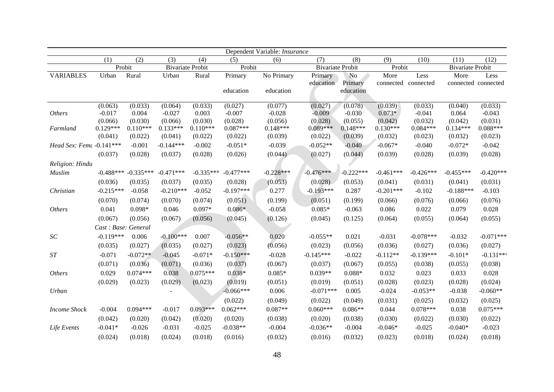|                           | Dependent Variable: Insurance |                       |                         |                       |                       |                         |                         |                            |                             |                       |                             |                       |
|---------------------------|-------------------------------|-----------------------|-------------------------|-----------------------|-----------------------|-------------------------|-------------------------|----------------------------|-----------------------------|-----------------------|-----------------------------|-----------------------|
|                           | (1)                           | (2)                   | (3)                     | (4)                   | (5)                   | (6)                     | (7)                     | (8)                        | (9)                         | (10)                  | (11)                        | (12)                  |
|                           | Probit                        |                       | <b>Bivariate Probit</b> |                       | Probit                |                         | <b>Bivariate Probit</b> |                            | Probit                      |                       | <b>Bivariate Probit</b>     |                       |
| <b>VARIABLES</b>          | Urban                         | Rural                 | Urban                   | Rural                 | Primary<br>education  | No Primary<br>education | Primary<br>education    | No<br>Primary<br>education | More<br>connected connected | Less                  | More<br>connected connected | Less                  |
|                           |                               |                       |                         |                       |                       |                         |                         |                            |                             |                       |                             |                       |
|                           | (0.063)                       | (0.033)               | (0.064)                 | (0.033)               | (0.027)               | (0.077)                 | (0.027)                 | (0.078)                    | (0.039)                     | (0.033)               | (0.040)                     | (0.033)               |
| <b>Others</b>             | $-0.017$                      | 0.004                 | $-0.027$                | 0.003                 | $-0.007$              | $-0.028$                | $-0.009$                | $-0.030$                   | $0.073*$                    | $-0.041$              | 0.064                       | $-0.043$              |
|                           | (0.066)                       | (0.030)               | (0.066)                 | (0.030)               | (0.028)               | (0.056)                 | (0.028)                 | (0.055)                    | (0.042)                     | (0.032)               | (0.042)                     | (0.031)               |
| Farmland                  | $0.129***$<br>(0.041)         | $0.110***$<br>(0.022) | $0.133***$<br>(0.041)   | $0.110***$<br>(0.022) | $0.087***$<br>(0.022) | $0.148***$<br>(0.039)   | $0.089***$<br>(0.022)   | $0.148***$<br>(0.039)      | $0.130***$<br>(0.032)       | $0.084***$<br>(0.023) | $0.134***$<br>(0.032)       | $0.088***$<br>(0.023) |
| Head Sex: Fema -0.141 *** |                               | $-0.001$              | $-0.144***$             | $-0.002$              | $-0.051*$             | $-0.039$                | $-0.052**$              | $-0.040$                   | $-0.067*$                   | $-0.040$              | $-0.072*$                   | $-0.042$              |
|                           | (0.037)                       | (0.028)               | (0.037)                 | (0.028)               | (0.026)               | (0.044)                 | (0.027)                 | (0.044)                    | (0.039)                     | (0.028)               | (0.039)                     | (0.028)               |
| Religion: Hindu           |                               |                       |                         |                       |                       |                         |                         |                            |                             |                       |                             |                       |
| Muslim                    | $-0.488***$                   | $-0.335***$           | $-0.471***$             | $-0.335***$           | $-0.477***$           | $-0.228***$             | $-0.476***$             | $-0.222***$                | $-0.461***$                 | $-0.426***$           | $-0.455***$                 | $-0.420***$           |
|                           | (0.036)                       | (0.035)               | (0.037)                 | (0.035)               | (0.028)               | (0.053)                 | (0.028)                 | (0.053)                    | (0.041)                     | (0.031)               | (0.041)                     | (0.031)               |
| Christian                 | $-0.215***$                   | $-0.058$              | $-0.210***$             | $-0.052$              | $-0.197***$           | 0.277                   | $-0.193***$             | 0.287                      | $-0.201***$                 | $-0.102$              | $-0.188***$                 | $-0.103$              |
|                           | (0.070)                       | (0.074)               | (0.070)                 | (0.074)               | (0.051)               | (0.199)                 | (0.051)                 | (0.199)                    | (0.066)                     | (0.076)               | (0.066)                     | (0.076)               |
| <b>Others</b>             | 0.041                         | $0.098*$              | 0.046                   | $0.097*$              | $0.086*$              | $-0.058$                | $0.085*$                | $-0.063$                   | 0.086                       | 0.022                 | 0.079                       | 0.028                 |
|                           | (0.067)                       | (0.056)               | (0.067)                 | (0.056)               | (0.045)               | (0.126)                 | (0.045)                 | (0.125)                    | (0.064)                     | (0.055)               | (0.064)                     | (0.055)               |
|                           | Cast: Base: General           |                       |                         |                       |                       |                         |                         |                            |                             |                       |                             |                       |
| SC                        | $-0.119***$                   | 0.006                 | $-0.100***$             | 0.007                 | $-0.056**$            | 0.020                   | $-0.055**$              | 0.021                      | $-0.031$                    | $-0.078***$           | $-0.032$                    | $-0.071***$           |
|                           | (0.035)                       | (0.027)               | (0.035)                 | (0.027)               | (0.023)               | (0.056)                 | (0.023)                 | (0.056)                    | (0.036)                     | (0.027)               | (0.036)                     | (0.027)               |
| ST                        | $-0.071$                      | $-0.072**$            | $-0.045$                | $-0.071*$             | $-0.150***$           | $-0.028$                | $-0.145***$             | $-0.022$                   | $-0.112**$                  | $-0.139***$           | $-0.101*$                   | $-0.131***$           |
|                           | (0.071)                       | (0.036)               | (0.071)                 | (0.036)               | (0.037)               | (0.067)                 | (0.037)                 | (0.067)                    | (0.055)                     | (0.038)               | (0.055)                     | (0.038)               |
| <i><b>Others</b></i>      | 0.029                         | $0.074***$            | 0.038                   | $0.075***$            | $0.038*$              | $0.085*$                | $0.039**$               | $0.088*$                   | 0.032                       | 0.023                 | 0.033                       | 0.028                 |
|                           | (0.029)                       | (0.023)               | (0.029)                 | (0.023)               | (0.019)               | (0.051)                 | (0.019)                 | (0.051)                    | (0.028)                     | (0.023)               | (0.028)                     | (0.024)               |
| Urban                     |                               |                       |                         |                       | $-0.066***$           | 0.006                   | $-0.071***$             | 0.005                      | $-0.024$                    | $-0.053**$            | $-0.038$                    | $-0.060**$            |
|                           |                               |                       |                         |                       | (0.022)               | (0.049)                 | (0.022)                 | (0.049)                    | (0.031)                     | (0.025)               | (0.032)                     | (0.025)               |
| <b>Income Shock</b>       | $-0.004$                      | $0.094***$            | $-0.017$                | $0.093***$            | $0.062***$            | $0.087**$               | $0.060***$              | $0.086**$                  | 0.044                       | $0.078***$            | 0.038                       | $0.075***$            |
|                           | (0.042)                       | (0.020)               | (0.042)                 | (0.020)               | (0.020)               | (0.038)                 | (0.020)                 | (0.038)                    | (0.030)                     | (0.022)               | (0.030)                     | (0.022)               |
| Life Events               | $-0.041*$                     | $-0.026$              | $-0.031$                | $-0.025$              | $-0.038**$            | $-0.004$                | $-0.036**$              | $-0.004$                   | $-0.046*$                   | $-0.025$              | $-0.040*$                   | $-0.023$              |
|                           | (0.024)                       | (0.018)               | (0.024)                 | (0.018)               | (0.016)               | (0.032)                 | (0.016)                 | (0.032)                    | (0.023)                     | (0.018)               | (0.024)                     | (0.018)               |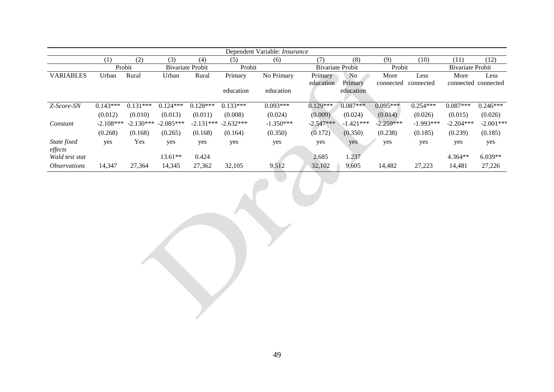| Dependent Variable: <i>Insurance</i> |             |             |                         |                         |            |             |                         |             |             |             |                         |                     |
|--------------------------------------|-------------|-------------|-------------------------|-------------------------|------------|-------------|-------------------------|-------------|-------------|-------------|-------------------------|---------------------|
|                                      | (1)         | (2)         | (3)                     | (4)                     | (5)        | (6)         | (7)                     | (8)         | (9)         | (10)        | (11)                    | (12)                |
|                                      | Probit      |             | <b>Bivariate Probit</b> |                         | Probit     |             | <b>Bivariate Probit</b> |             | Probit      |             | <b>Bivariate Probit</b> |                     |
| <b>VARIABLES</b>                     | Urban       | Rural       | Urban                   | Rural                   | Primary    | No Primary  | Primary                 | No          | More        | Less        | More                    | Less                |
|                                      |             |             |                         |                         |            |             | education               | Primary     | connected   | connected   |                         | connected connected |
|                                      |             |             |                         |                         | education  | education   |                         | education   |             |             |                         |                     |
|                                      |             |             |                         |                         |            |             |                         |             |             |             |                         |                     |
| Z-Score-SN                           | $0.143***$  | $0.131***$  | $0.124***$              | $0.128***$              | $0.133***$ | $0.093***$  | $0.129***$              | $0.087***$  | $0.095***$  | $0.254***$  | $0.087***$              | $0.246***$          |
|                                      | (0.012)     | (0.010)     | (0.013)                 | (0.011)                 | (0.008)    | (0.024)     | (0.009)                 | (0.024)     | (0.014)     | (0.026)     | (0.015)                 | (0.026)             |
| Constant                             | $-2.108***$ | $-2.130***$ | $-2.085***$             | $-2.131***$ $-2.632***$ |            | $-1.350***$ | $-2.547***$             | $-1.421***$ | $-2.259***$ | $-1.993***$ | $-2.204***$             | $-2.001***$         |
|                                      | (0.268)     | (0.168)     | (0.265)                 | (0.168)                 | (0.164)    | (0.350)     | (0.172)                 | (0.350)     | (0.238)     | (0.185)     | (0.239)                 | (0.185)             |
| State fixed                          | yes         | Yes         | yes                     | yes                     | yes        | yes         | yes                     | yes         | yes         | yes         | yes                     | yes                 |
| effects                              |             |             |                         |                         |            |             |                         |             |             |             |                         |                     |
| Wald test stat                       |             |             | $13.61**$               | 0.424                   |            |             | 2.685                   | 1.237       |             |             | $4.364**$               | $6.039**$           |
| <i><b>Observations</b></i>           | 14,347      | 27,364      | 14,345                  | 27,362                  | 32,105     | 9,512       | 32,102                  | 9,605       | 14,482      | 27,223      | 14,481                  | 27,226              |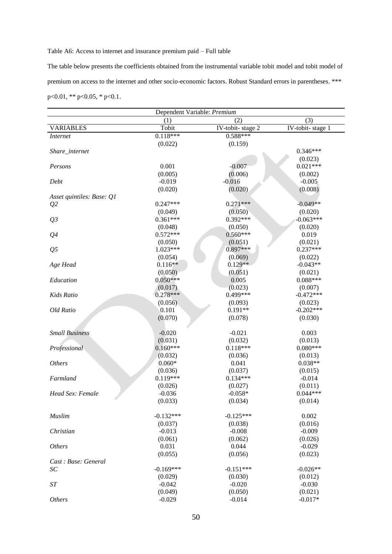#### Table A6: Access to internet and insurance premium paid – Full table

The table below presents the coefficients obtained from the instrumental variable tobit model and tobit model of premium on access to the internet and other socio-economic factors. Robust Standard errors in parentheses. \*\*\* p<0.01, \*\* p<0.05, \* p<0.1.

| Dependent Variable: Premium |             |                                       |                  |  |  |  |
|-----------------------------|-------------|---------------------------------------|------------------|--|--|--|
|                             | (1)         | (2)                                   | (3)              |  |  |  |
| <b>VARIABLES</b>            | Tobit       | $\overline{\text{IV-tobit}}$ -stage 2 | IV-tobit-stage 1 |  |  |  |
| <i>Internet</i>             | $0.118***$  | $0.588***$                            |                  |  |  |  |
|                             | (0.022)     | (0.159)                               |                  |  |  |  |
| Share_internet              |             |                                       | $0.346***$       |  |  |  |
|                             |             |                                       | (0.023)          |  |  |  |
| Persons                     | 0.001       | $-0.007$                              | $0.021***$       |  |  |  |
|                             | (0.005)     | (0.006)                               | (0.002)          |  |  |  |
| Debt                        | $-0.019$    | $-0.016$                              | $-0.005$         |  |  |  |
|                             | (0.020)     | (0.020)                               | (0.008)          |  |  |  |
| Asset quintiles: Base: Q1   |             |                                       |                  |  |  |  |
| Q <sub>2</sub>              | $0.247***$  | $0.271***$                            | $-0.049**$       |  |  |  |
|                             | (0.049)     | (0.050)                               | (0.020)          |  |  |  |
| Q <sub>3</sub>              | $0.361***$  | $0.392***$                            | $-0.063***$      |  |  |  |
|                             | (0.048)     | (0.050)                               | (0.020)          |  |  |  |
| Q <sub>4</sub>              | $0.572***$  | $0.560***$                            | 0.019            |  |  |  |
|                             | (0.050)     | (0.051)                               | (0.021)          |  |  |  |
| Q <sub>5</sub>              | $1.023***$  | $0.897***$                            | $0.237***$       |  |  |  |
|                             | (0.054)     | (0.069)                               | (0.022)          |  |  |  |
| Age Head                    | $0.116**$   | $0.129**$                             | $-0.043**$       |  |  |  |
|                             | (0.050)     | (0.051)                               | (0.021)          |  |  |  |
| Education                   | $0.050***$  | 0.005                                 | $0.088***$       |  |  |  |
|                             | (0.017)     | (0.023)                               | (0.007)          |  |  |  |
| Kids Ratio                  | $0.278***$  | 0.499***                              | $-0.472***$      |  |  |  |
|                             | (0.056)     | (0.093)                               | (0.023)          |  |  |  |
| Old Ratio                   | 0.101       | $0.191**$                             | $-0.202***$      |  |  |  |
|                             | (0.070)     | (0.078)                               | (0.030)          |  |  |  |
|                             |             |                                       |                  |  |  |  |
| <b>Small Business</b>       | $-0.020$    | $-0.021$                              | 0.003            |  |  |  |
|                             | (0.031)     | (0.032)                               | (0.013)          |  |  |  |
| Professional                | $0.160***$  | $0.118***$                            | $0.080***$       |  |  |  |
|                             | (0.032)     | (0.036)                               | (0.013)          |  |  |  |
| <b>Others</b>               | $0.060*$    | 0.041                                 | $0.038**$        |  |  |  |
|                             | (0.036)     | (0.037)                               | (0.015)          |  |  |  |
| Farmland                    | $0.119***$  | $0.134***$                            | $-0.014$         |  |  |  |
|                             | (0.026)     | (0.027)                               | (0.011)          |  |  |  |
| Head Sex: Female            | $-0.036$    | $-0.058*$                             | $0.044***$       |  |  |  |
|                             | (0.033)     | (0.034)                               | (0.014)          |  |  |  |
|                             |             |                                       |                  |  |  |  |
| Muslim                      | $-0.132***$ | $-0.125***$                           | 0.002            |  |  |  |
|                             | (0.037)     | (0.038)                               | (0.016)          |  |  |  |
| Christian                   | $-0.013$    | $-0.008$                              | $-0.009$         |  |  |  |
|                             | (0.061)     | (0.062)                               | (0.026)          |  |  |  |
| <b>Others</b>               | 0.031       | 0.044                                 | $-0.029$         |  |  |  |
|                             | (0.055)     | (0.056)                               | (0.023)          |  |  |  |
| Cast : Base: General        |             |                                       |                  |  |  |  |
| SC                          | $-0.169***$ | $-0.151***$                           | $-0.026**$       |  |  |  |
|                             | (0.029)     | (0.030)                               | (0.012)          |  |  |  |
| $\cal ST$                   | $-0.042$    | $-0.020$                              | $-0.030$         |  |  |  |
|                             | (0.049)     | (0.050)                               | (0.021)          |  |  |  |
| <b>Others</b>               | $-0.029$    | $-0.014$                              | $-0.017*$        |  |  |  |